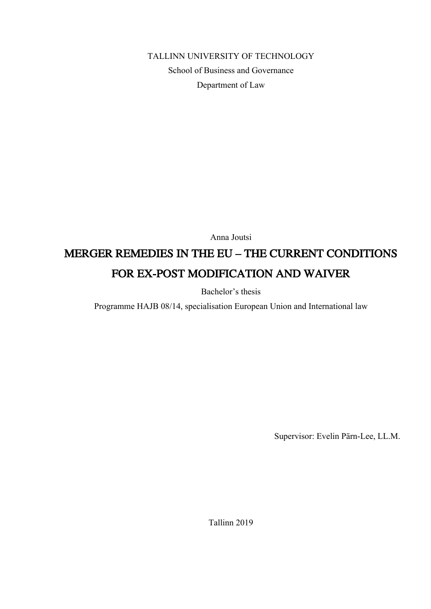TALLINN UNIVERSITY OF TECHNOLOGY School of Business and Governance Department of Law

Anna Joutsi

# MERGER REMEDIES IN THE EU – THE CURRENT CONDITIONS FOR EX-POST MODIFICATION AND WAIVER

Bachelor's thesis

Programme HAJB 08/14, specialisation European Union and International law

Supervisor: Evelin Pärn-Lee, LL.M.

Tallinn 2019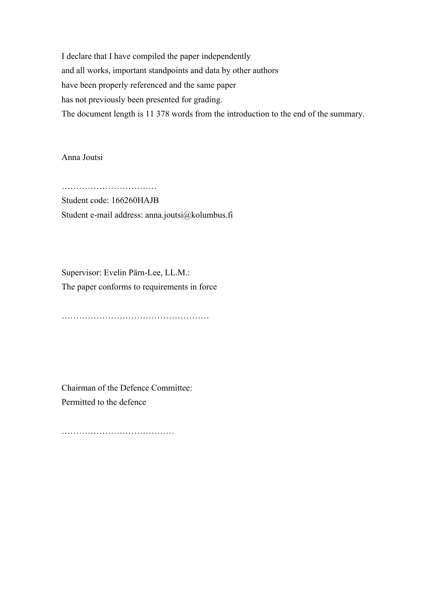I declare that I have compiled the paper independently and all works, important standpoints and data by other authors have been properly referenced and the same paper has not previously been presented for grading. The document length is 11 378 words from the introduction to the end of the summary.

Anna Joutsi

……………………………………… Student code: 166260HAJB Student e-mail address: anna.joutsi@kolumbus.fi

Supervisor: Evelin Pärn-Lee, LL.M.: The paper conforms to requirements in force

……………………………………………

Chairman of the Defence Committee: Permitted to the defence

…………………………………………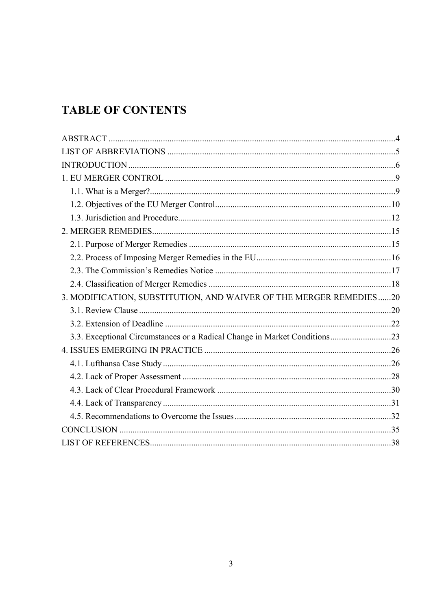# **TABLE OF CONTENTS**

| 3. MODIFICATION, SUBSTITUTION, AND WAIVER OF THE MERGER REMEDIES20        |  |
|---------------------------------------------------------------------------|--|
|                                                                           |  |
|                                                                           |  |
| 3.3. Exceptional Circumstances or a Radical Change in Market Conditions23 |  |
|                                                                           |  |
|                                                                           |  |
|                                                                           |  |
|                                                                           |  |
|                                                                           |  |
|                                                                           |  |
|                                                                           |  |
|                                                                           |  |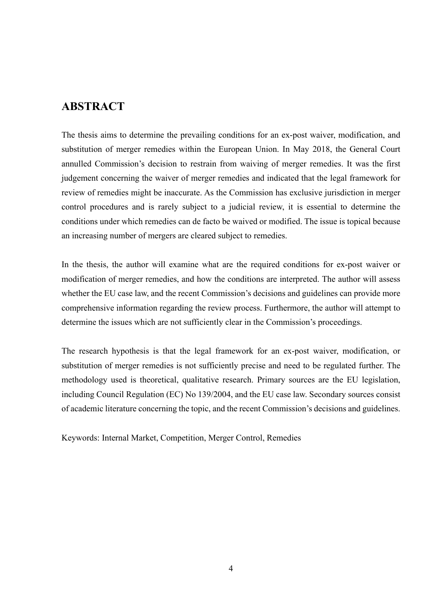# **ABSTRACT**

The thesis aims to determine the prevailing conditions for an ex-post waiver, modification, and substitution of merger remedies within the European Union. In May 2018, the General Court annulled Commission's decision to restrain from waiving of merger remedies. It was the first judgement concerning the waiver of merger remedies and indicated that the legal framework for review of remedies might be inaccurate. As the Commission has exclusive jurisdiction in merger control procedures and is rarely subject to a judicial review, it is essential to determine the conditions under which remedies can de facto be waived or modified. The issue is topical because an increasing number of mergers are cleared subject to remedies.

In the thesis, the author will examine what are the required conditions for ex-post waiver or modification of merger remedies, and how the conditions are interpreted. The author will assess whether the EU case law, and the recent Commission's decisions and guidelines can provide more comprehensive information regarding the review process. Furthermore, the author will attempt to determine the issues which are not sufficiently clear in the Commission's proceedings.

The research hypothesis is that the legal framework for an ex-post waiver, modification, or substitution of merger remedies is not sufficiently precise and need to be regulated further. The methodology used is theoretical, qualitative research. Primary sources are the EU legislation, including Council Regulation (EC) No 139/2004, and the EU case law. Secondary sources consist of academic literature concerning the topic, and the recent Commission's decisions and guidelines.

Keywords: Internal Market, Competition, Merger Control, Remedies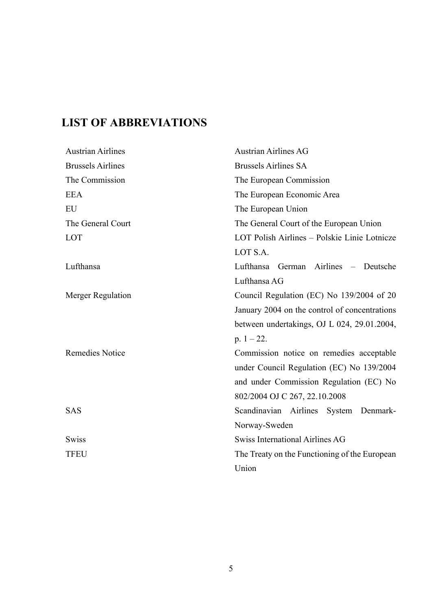# **LIST OF ABBREVIATIONS**

| <b>Austrian Airlines</b> | <b>Austrian Airlines AG</b>                   |
|--------------------------|-----------------------------------------------|
| <b>Brussels Airlines</b> | <b>Brussels Airlines SA</b>                   |
| The Commission           | The European Commission                       |
| <b>EEA</b>               | The European Economic Area                    |
| EU                       | The European Union                            |
| The General Court        | The General Court of the European Union       |
| LOT                      | LOT Polish Airlines - Polskie Linie Lotnicze  |
|                          | LOT S.A.                                      |
| Lufthansa                | Lufthansa<br>Airlines – Deutsche<br>German    |
|                          | Lufthansa AG                                  |
| Merger Regulation        | Council Regulation (EC) No 139/2004 of 20     |
|                          | January 2004 on the control of concentrations |
|                          | between undertakings, OJ L 024, 29.01.2004,   |
|                          | p. $1 - 22$ .                                 |
| <b>Remedies Notice</b>   | Commission notice on remedies acceptable      |
|                          | under Council Regulation (EC) No 139/2004     |
|                          | and under Commission Regulation (EC) No       |
|                          | 802/2004 OJ C 267, 22.10.2008                 |
| <b>SAS</b>               | Scandinavian Airlines System Denmark-         |
|                          | Norway-Sweden                                 |
| <b>Swiss</b>             | Swiss International Airlines AG               |
| <b>TFEU</b>              | The Treaty on the Functioning of the European |
|                          | Union                                         |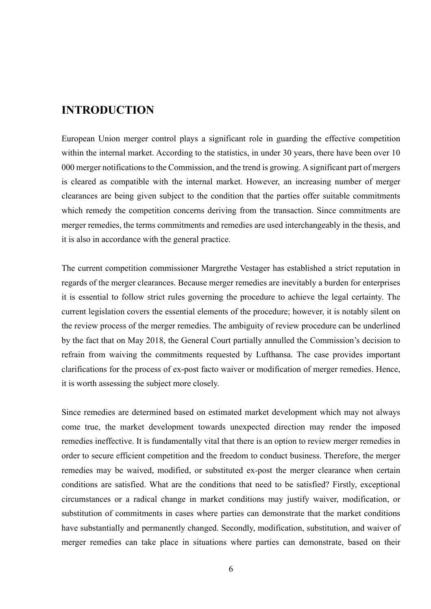## **INTRODUCTION**

European Union merger control plays a significant role in guarding the effective competition within the internal market. According to the statistics, in under 30 years, there have been over 10 000 merger notifications to the Commission, and the trend is growing. A significant part of mergers is cleared as compatible with the internal market. However, an increasing number of merger clearances are being given subject to the condition that the parties offer suitable commitments which remedy the competition concerns deriving from the transaction. Since commitments are merger remedies, the terms commitments and remedies are used interchangeably in the thesis, and it is also in accordance with the general practice.

The current competition commissioner Margrethe Vestager has established a strict reputation in regards of the merger clearances. Because merger remedies are inevitably a burden for enterprises it is essential to follow strict rules governing the procedure to achieve the legal certainty. The current legislation covers the essential elements of the procedure; however, it is notably silent on the review process of the merger remedies. The ambiguity of review procedure can be underlined by the fact that on May 2018, the General Court partially annulled the Commission's decision to refrain from waiving the commitments requested by Lufthansa. The case provides important clarifications for the process of ex-post facto waiver or modification of merger remedies. Hence, it is worth assessing the subject more closely.

Since remedies are determined based on estimated market development which may not always come true, the market development towards unexpected direction may render the imposed remedies ineffective. It is fundamentally vital that there is an option to review merger remedies in order to secure efficient competition and the freedom to conduct business. Therefore, the merger remedies may be waived, modified, or substituted ex-post the merger clearance when certain conditions are satisfied. What are the conditions that need to be satisfied? Firstly, exceptional circumstances or a radical change in market conditions may justify waiver, modification, or substitution of commitments in cases where parties can demonstrate that the market conditions have substantially and permanently changed. Secondly, modification, substitution, and waiver of merger remedies can take place in situations where parties can demonstrate, based on their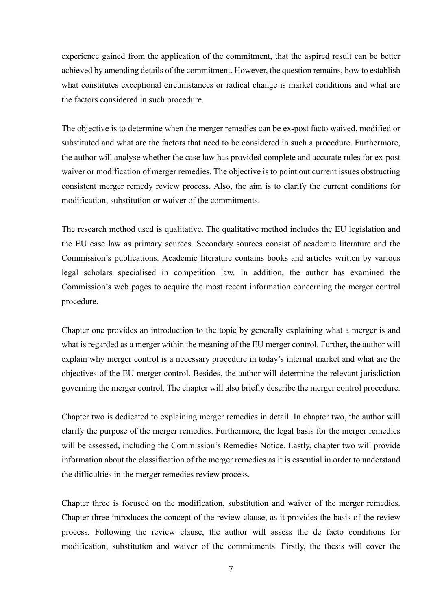experience gained from the application of the commitment, that the aspired result can be better achieved by amending details of the commitment. However, the question remains, how to establish what constitutes exceptional circumstances or radical change is market conditions and what are the factors considered in such procedure.

The objective is to determine when the merger remedies can be ex-post facto waived, modified or substituted and what are the factors that need to be considered in such a procedure. Furthermore, the author will analyse whether the case law has provided complete and accurate rules for ex-post waiver or modification of merger remedies. The objective is to point out current issues obstructing consistent merger remedy review process. Also, the aim is to clarify the current conditions for modification, substitution or waiver of the commitments.

The research method used is qualitative. The qualitative method includes the EU legislation and the EU case law as primary sources. Secondary sources consist of academic literature and the Commission's publications. Academic literature contains books and articles written by various legal scholars specialised in competition law. In addition, the author has examined the Commission's web pages to acquire the most recent information concerning the merger control procedure.

Chapter one provides an introduction to the topic by generally explaining what a merger is and what is regarded as a merger within the meaning of the EU merger control. Further, the author will explain why merger control is a necessary procedure in today's internal market and what are the objectives of the EU merger control. Besides, the author will determine the relevant jurisdiction governing the merger control. The chapter will also briefly describe the merger control procedure.

Chapter two is dedicated to explaining merger remedies in detail. In chapter two, the author will clarify the purpose of the merger remedies. Furthermore, the legal basis for the merger remedies will be assessed, including the Commission's Remedies Notice. Lastly, chapter two will provide information about the classification of the merger remedies as it is essential in order to understand the difficulties in the merger remedies review process.

Chapter three is focused on the modification, substitution and waiver of the merger remedies. Chapter three introduces the concept of the review clause, as it provides the basis of the review process. Following the review clause, the author will assess the de facto conditions for modification, substitution and waiver of the commitments. Firstly, the thesis will cover the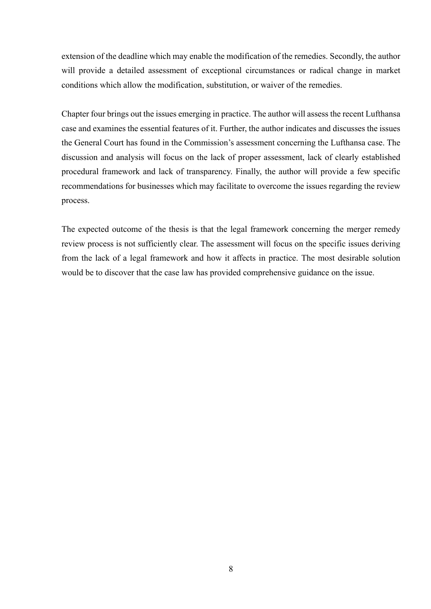extension of the deadline which may enable the modification of the remedies. Secondly, the author will provide a detailed assessment of exceptional circumstances or radical change in market conditions which allow the modification, substitution, or waiver of the remedies.

Chapter four brings out the issues emerging in practice. The author will assess the recent Lufthansa case and examines the essential features of it. Further, the author indicates and discusses the issues the General Court has found in the Commission's assessment concerning the Lufthansa case. The discussion and analysis will focus on the lack of proper assessment, lack of clearly established procedural framework and lack of transparency. Finally, the author will provide a few specific recommendations for businesses which may facilitate to overcome the issues regarding the review process.

The expected outcome of the thesis is that the legal framework concerning the merger remedy review process is not sufficiently clear. The assessment will focus on the specific issues deriving from the lack of a legal framework and how it affects in practice. The most desirable solution would be to discover that the case law has provided comprehensive guidance on the issue.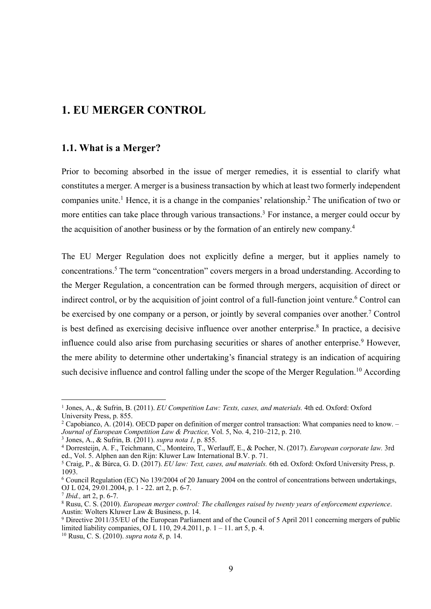## **1. EU MERGER CONTROL**

#### **1.1. What is a Merger?**

Prior to becoming absorbed in the issue of merger remedies, it is essential to clarify what constitutes a merger. A merger is a business transaction by which at least two formerly independent companies unite.<sup>1</sup> Hence, it is a change in the companies' relationship.<sup>2</sup> The unification of two or more entities can take place through various transactions.<sup>3</sup> For instance, a merger could occur by the acquisition of another business or by the formation of an entirely new company.4

The EU Merger Regulation does not explicitly define a merger, but it applies namely to concentrations.5 The term "concentration" covers mergers in a broad understanding. According to the Merger Regulation, a concentration can be formed through mergers, acquisition of direct or indirect control, or by the acquisition of joint control of a full-function joint venture.<sup>6</sup> Control can be exercised by one company or a person, or jointly by several companies over another.<sup>7</sup> Control is best defined as exercising decisive influence over another enterprise. <sup>8</sup> In practice, a decisive influence could also arise from purchasing securities or shares of another enterprise.<sup>9</sup> However, the mere ability to determine other undertaking's financial strategy is an indication of acquiring such decisive influence and control falling under the scope of the Merger Regulation.<sup>10</sup> According

 <sup>1</sup> Jones, A., & Sufrin, B. (2011). *EU Competition Law: Texts, cases, and materials.* 4th ed. Oxford: Oxford University Press, p. 855.

<sup>&</sup>lt;sup>2</sup> Capobianco, A. (2014). OECD paper on definition of merger control transaction: What companies need to know.  $-$ *Journal of European Competition Law & Practice,* Vol. 5, No. 4, 210–212, p. 210.

<sup>3</sup> Jones, A., & Sufrin, B. (2011). *supra nota 1,* p. 855.

<sup>4</sup> Dorresteijn, A. F., Teichmann, C., Monteiro, T., Werlauff, E., & Pocher, N. (2017). *European corporate law.* 3rd ed., Vol. 5. Alphen aan den Rijn: Kluwer Law International B.V. p. 71.

<sup>5</sup> Craig, P., & Búrca, G. D. (2017). *EU law: Text, cases, and materials.* 6th ed. Oxford: Oxford University Press, p. 1093.

<sup>6</sup> Council Regulation (EC) No 139/2004 of 20 January 2004 on the control of concentrations between undertakings, OJ L 024, 29.01.2004, p. 1 - 22. art 2, p. 6-7.

<sup>7</sup> *Ibid.,* art 2, p. 6-7.

<sup>8</sup> Rusu, C. S. (2010). *European merger control: The challenges raised by twenty years of enforcement experience*. Austin: Wolters Kluwer Law & Business, p. 14.

<sup>9</sup> Directive 2011/35/EU of the European Parliament and of the Council of 5 April 2011 concerning mergers of public limited liability companies, OJ L  $110$ , 29.4.2011, p. 1 – 11. art 5, p. 4.

<sup>10</sup> Rusu, C. S. (2010). *supra nota 8*, p. 14.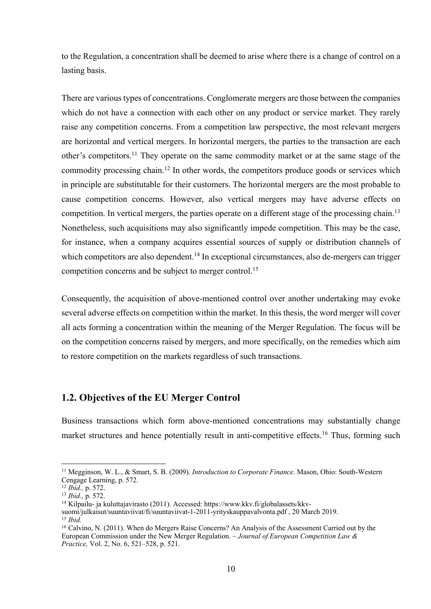to the Regulation, a concentration shall be deemed to arise where there is a change of control on a lasting basis.

There are various types of concentrations. Conglomerate mergers are those between the companies which do not have a connection with each other on any product or service market. They rarely raise any competition concerns. From a competition law perspective, the most relevant mergers are horizontal and vertical mergers. In horizontal mergers, the parties to the transaction are each other's competitors.<sup>11</sup> They operate on the same commodity market or at the same stage of the commodity processing chain.<sup>12</sup> In other words, the competitors produce goods or services which in principle are substitutable for their customers. The horizontal mergers are the most probable to cause competition concerns. However, also vertical mergers may have adverse effects on competition. In vertical mergers, the parties operate on a different stage of the processing chain.<sup>13</sup> Nonetheless, such acquisitions may also significantly impede competition. This may be the case, for instance, when a company acquires essential sources of supply or distribution channels of which competitors are also dependent.<sup>14</sup> In exceptional circumstances, also de-mergers can trigger competition concerns and be subject to merger control.<sup>15</sup>

Consequently, the acquisition of above-mentioned control over another undertaking may evoke several adverse effects on competition within the market. In this thesis, the word merger will cover all acts forming a concentration within the meaning of the Merger Regulation. The focus will be on the competition concerns raised by mergers, and more specifically, on the remedies which aim to restore competition on the markets regardless of such transactions.

## **1.2. Objectives of the EU Merger Control**

Business transactions which form above-mentioned concentrations may substantially change market structures and hence potentially result in anti-competitive effects.<sup>16</sup> Thus, forming such

 <sup>11</sup> Megginson, W. L., & Smart, S. B. (2009). *Introduction to Corporate Finance*. Mason, Ohio: South-Western Cengage Learning, p. 572.

<sup>12</sup> *Ibid.,* p. 572.

<sup>13</sup> *Ibid.,* p. 572.

<sup>14</sup> Kilpailu- ja kuluttajavirasto (2011). Accessed: https://www.kkv.fi/globalassets/kkv-

suomi/julkaisut/suuntaviivat/fi/suuntaviivat-1-2011-yrityskauppavalvonta.pdf , 20 March 2019. <sup>15</sup> *Ibid.*

<sup>&</sup>lt;sup>16</sup> Calvino, N. (2011). When do Mergers Raise Concerns? An Analysis of the Assessment Carried out by the European Commission under the New Merger Regulation. – *Journal of European Competition Law & Practice,* Vol. 2, No. 6, 521–528, p. 521.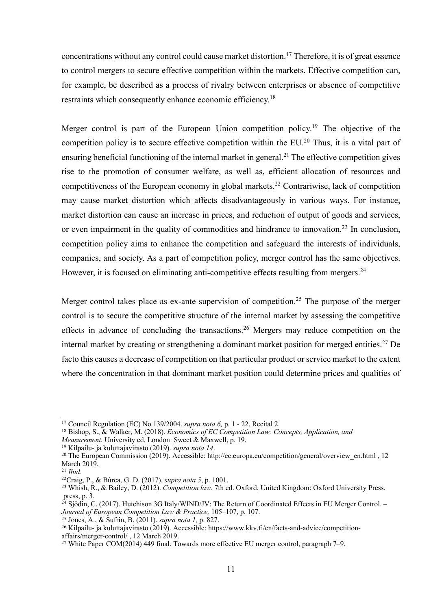concentrations without any control could cause market distortion.<sup>17</sup> Therefore, it is of great essence to control mergers to secure effective competition within the markets. Effective competition can, for example, be described as a process of rivalry between enterprises or absence of competitive restraints which consequently enhance economic efficiency.<sup>18</sup>

Merger control is part of the European Union competition policy.<sup>19</sup> The objective of the competition policy is to secure effective competition within the EU.<sup>20</sup> Thus, it is a vital part of ensuring beneficial functioning of the internal market in general.<sup>21</sup> The effective competition gives rise to the promotion of consumer welfare, as well as, efficient allocation of resources and competitiveness of the European economy in global markets. <sup>22</sup> Contrariwise, lack of competition may cause market distortion which affects disadvantageously in various ways. For instance, market distortion can cause an increase in prices, and reduction of output of goods and services, or even impairment in the quality of commodities and hindrance to innovation.<sup>23</sup> In conclusion, competition policy aims to enhance the competition and safeguard the interests of individuals, companies, and society. As a part of competition policy, merger control has the same objectives. However, it is focused on eliminating anti-competitive effects resulting from mergers.<sup>24</sup>

Merger control takes place as ex-ante supervision of competition.<sup>25</sup> The purpose of the merger control is to secure the competitive structure of the internal market by assessing the competitive effects in advance of concluding the transactions.<sup>26</sup> Mergers may reduce competition on the internal market by creating or strengthening a dominant market position for merged entities.<sup>27</sup> De facto this causes a decrease of competition on that particular product or service market to the extent where the concentration in that dominant market position could determine prices and qualities of

<sup>25</sup> Jones, A., & Sufrin, B. (2011). *supra nota 1,* p. 827.

 <sup>17</sup> Council Regulation (EC) No 139/2004. *supra nota 6,* p. 1 - 22. Recital 2.

<sup>18</sup> Bishop, S., & Walker, M. (2018). *Economics of EC Competition Law: Concepts, Application, and Measurement.* University ed. London: Sweet & Maxwell, p. 19.

<sup>19</sup> Kilpailu- ja kuluttajavirasto (2019). *supra nota 14*.

<sup>20</sup> The European Commission (2019). Accessible: http://ec.europa.eu/competition/general/overview\_en.html , 12 March 2019.

<sup>21</sup> *Ibid.*

<sup>22</sup>Craig, P., & Búrca, G. D. (2017). *supra nota 5*, p. 1001.

<sup>23</sup> Whish, R., & Bailey, D. (2012). *Competition law.* 7th ed. Oxford, United Kingdom: Oxford University Press. press, p. 3.

 $^{24}$  Sjödin, C. (2017). Hutchison 3G Italy/WIND/JV: The Return of Coordinated Effects in EU Merger Control. – *Journal of European Competition Law & Practice,* 105–107, p. 107.

<sup>&</sup>lt;sup>26</sup> Kilpailu- ja kuluttajavirasto (2019). Accessible: https://www.kkv.fi/en/facts-and-advice/competitionaffairs/merger-control/ , 12 March 2019.

<sup>27</sup> White Paper COM(2014) 449 final. Towards more effective EU merger control, paragraph 7–9.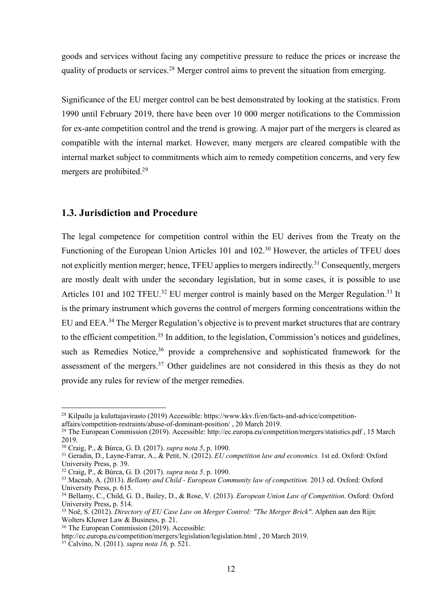goods and services without facing any competitive pressure to reduce the prices or increase the quality of products or services.<sup>28</sup> Merger control aims to prevent the situation from emerging.

Significance of the EU merger control can be best demonstrated by looking at the statistics. From 1990 until February 2019, there have been over 10 000 merger notifications to the Commission for ex-ante competition control and the trend is growing. A major part of the mergers is cleared as compatible with the internal market. However, many mergers are cleared compatible with the internal market subject to commitments which aim to remedy competition concerns, and very few mergers are prohibited.29

### **1.3. Jurisdiction and Procedure**

The legal competence for competition control within the EU derives from the Treaty on the Functioning of the European Union Articles 101 and 102.<sup>30</sup> However, the articles of TFEU does not explicitly mention merger; hence, TFEU applies to mergers indirectly.<sup>31</sup> Consequently, mergers are mostly dealt with under the secondary legislation, but in some cases, it is possible to use Articles 101 and 102 TFEU.<sup>32</sup> EU merger control is mainly based on the Merger Regulation.<sup>33</sup> It is the primary instrument which governs the control of mergers forming concentrations within the EU and EEA.<sup>34</sup> The Merger Regulation's objective is to prevent market structures that are contrary to the efficient competition.35 In addition, to the legislation, Commission's notices and guidelines, such as Remedies Notice,<sup>36</sup> provide a comprehensive and sophisticated framework for the assessment of the mergers.<sup>37</sup> Other guidelines are not considered in this thesis as they do not provide any rules for review of the merger remedies.

http://ec.europa.eu/competition/mergers/legislation/legislation.html , 20 March 2019.

 <sup>28</sup> Kilpailu ja kuluttajavirasto (2019) Accessible: https://www.kkv.fi/en/facts-and-advice/competitionaffairs/competition-restraints/abuse-of-dominant-position/ , 20 March 2019.

<sup>&</sup>lt;sup>29</sup> The European Commission (2019). Accessible: http://ec.europa.eu/competition/mergers/statistics.pdf, 15 March 2019.

<sup>30</sup> Craig, P., & Búrca, G. D. (2017). *supra nota 5*, p. 1090.

<sup>31</sup> Geradin, D., Layne-Farrar, A., & Petit, N. (2012). *EU competition law and economics.* 1st ed. Oxford: Oxford University Press, p. 39.

<sup>32</sup> Craig, P., & Búrca, G. D. (2017). *supra nota 5*. p. 1090.

<sup>33</sup> Macnab, A. (2013). *Bellamy and Child - European Community law of competition.* 2013 ed. Oxford: Oxford University Press, p. 615.

<sup>34</sup> Bellamy, C., Child, G. D., Bailey, D., & Rose, V. (2013). *European Union Law of Competition*. Oxford: Oxford University Press, p. 514.

<sup>35</sup> Noë, S. (2012). *Directory of EU Case Law on Merger Control: "The Merger Brick"*. Alphen aan den Rijn: Wolters Kluwer Law & Business, p. 21.

<sup>36</sup> The European Commission (2019). Accessible:

<sup>37</sup> Calvino, N. (2011). *supra nota 16,* p. 521.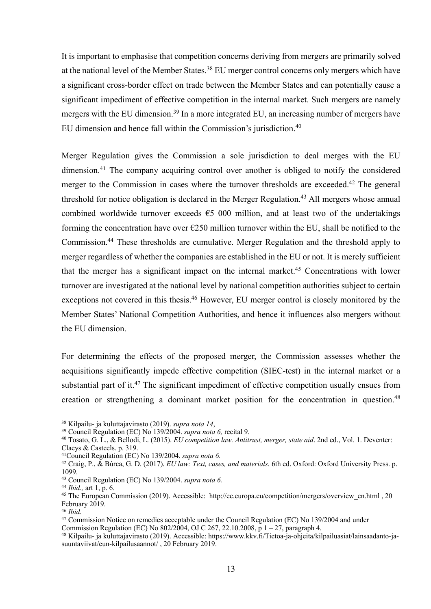It is important to emphasise that competition concerns deriving from mergers are primarily solved at the national level of the Member States.<sup>38</sup> EU merger control concerns only mergers which have a significant cross-border effect on trade between the Member States and can potentially cause a significant impediment of effective competition in the internal market. Such mergers are namely mergers with the EU dimension.<sup>39</sup> In a more integrated EU, an increasing number of mergers have EU dimension and hence fall within the Commission's jurisdiction.40

Merger Regulation gives the Commission a sole jurisdiction to deal merges with the EU dimension.<sup>41</sup> The company acquiring control over another is obliged to notify the considered merger to the Commission in cases where the turnover thresholds are exceeded.<sup>42</sup> The general threshold for notice obligation is declared in the Merger Regulation.<sup>43</sup> All mergers whose annual combined worldwide turnover exceeds  $\epsilon$ 5 000 million, and at least two of the undertakings forming the concentration have over  $\epsilon$ 250 million turnover within the EU, shall be notified to the Commission. <sup>44</sup> These thresholds are cumulative. Merger Regulation and the threshold apply to merger regardless of whether the companies are established in the EU or not. It is merely sufficient that the merger has a significant impact on the internal market.<sup>45</sup> Concentrations with lower turnover are investigated at the national level by national competition authorities subject to certain exceptions not covered in this thesis. <sup>46</sup> However, EU merger control is closely monitored by the Member States' National Competition Authorities, and hence it influences also mergers without the EU dimension.

For determining the effects of the proposed merger, the Commission assesses whether the acquisitions significantly impede effective competition (SIEC-test) in the internal market or a substantial part of it.<sup>47</sup> The significant impediment of effective competition usually ensues from creation or strengthening a dominant market position for the concentration in question.<sup>48</sup>

 <sup>38</sup> Kilpailu- ja kuluttajavirasto (2019). *supra nota 14*,

<sup>39</sup> Council Regulation (EC) No 139/2004. *supra nota 6,* recital 9.

<sup>40</sup> Tosato, G. L., & Bellodi, L. (2015). *EU competition law. Antitrust, merger, state aid*. 2nd ed., Vol. 1. Deventer: Claeys & Casteels. p. 319.

<sup>41</sup>Council Regulation (EC) No 139/2004. *supra nota 6.*

<sup>42</sup> Craig, P., & Búrca, G. D. (2017). *EU law: Text, cases, and materials.* 6th ed. Oxford: Oxford University Press. p. 1099.

<sup>43</sup> Council Regulation (EC) No 139/2004. *supra nota 6.*

<sup>44</sup> *Ibid.,* art 1, p. 6.

<sup>45</sup> The European Commission (2019). Accessible: http://ec.europa.eu/competition/mergers/overview\_en.html , 20 February 2019.

<sup>46</sup> *Ibid.*

<sup>&</sup>lt;sup>47</sup> Commission Notice on remedies acceptable under the Council Regulation (EC) No 139/2004 and under

Commission Regulation (EC) No 802/2004, OJ C 267, 22.10.2008,  $\bar{p}$  1 – 27, paragraph 4.

<sup>48</sup> Kilpailu- ja kuluttajavirasto (2019). Accessible: https://www.kkv.fi/Tietoa-ja-ohjeita/kilpailuasiat/lainsaadanto-jasuuntaviivat/eun-kilpailusaannot/ , 20 February 2019.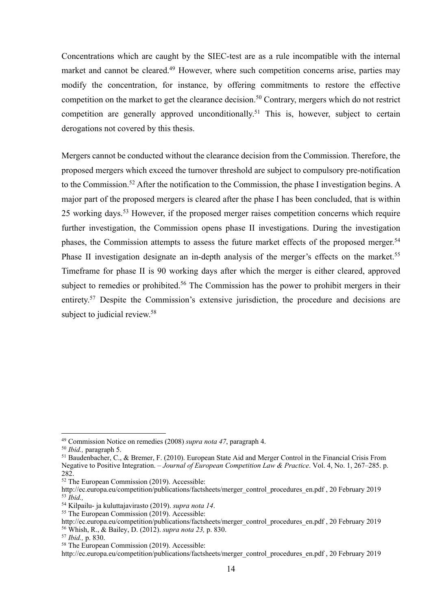Concentrations which are caught by the SIEC-test are as a rule incompatible with the internal market and cannot be cleared.<sup>49</sup> However, where such competition concerns arise, parties may modify the concentration, for instance, by offering commitments to restore the effective competition on the market to get the clearance decision.<sup>50</sup> Contrary, mergers which do not restrict competition are generally approved unconditionally.<sup>51</sup> This is, however, subject to certain derogations not covered by this thesis.

Mergers cannot be conducted without the clearance decision from the Commission. Therefore, the proposed mergers which exceed the turnover threshold are subject to compulsory pre-notification to the Commission.<sup>52</sup> After the notification to the Commission, the phase I investigation begins. A major part of the proposed mergers is cleared after the phase I has been concluded, that is within 25 working days.<sup>53</sup> However, if the proposed merger raises competition concerns which require further investigation, the Commission opens phase II investigations. During the investigation phases, the Commission attempts to assess the future market effects of the proposed merger.<sup>54</sup> Phase II investigation designate an in-depth analysis of the merger's effects on the market.<sup>55</sup> Timeframe for phase II is 90 working days after which the merger is either cleared, approved subject to remedies or prohibited.<sup>56</sup> The Commission has the power to prohibit mergers in their entirety.<sup>57</sup> Despite the Commission's extensive jurisdiction, the procedure and decisions are subject to judicial review.<sup>58</sup>

 <sup>49</sup> Commission Notice on remedies (2008) *supra nota 47*, paragraph 4.

<sup>50</sup> *Ibid.,* paragraph 5.

<sup>51</sup> Baudenbacher, C., & Bremer, F. (2010). European State Aid and Merger Control in the Financial Crisis From Negative to Positive Integration. *– Journal of European Competition Law & Practice*. Vol. 4, No. 1, 267–285. p. 282.

 $52$  The European Commission (2019). Accessible:

http://ec.europa.eu/competition/publications/factsheets/merger\_control\_procedures\_en.pdf , 20 February 2019 <sup>53</sup> *Ibid.,*

<sup>54</sup> Kilpailu- ja kuluttajavirasto (2019). *supra nota 14*.

<sup>55</sup> The European Commission (2019). Accessible:

http://ec.europa.eu/competition/publications/factsheets/merger\_control\_procedures\_en.pdf , 20 February 2019 <sup>56</sup> Whish, R., & Bailey, D. (2012). *supra nota 23,* p. 830.

<sup>57</sup> *Ibid.,* p. 830.

<sup>58</sup> The European Commission (2019). Accessible:

http://ec.europa.eu/competition/publications/factsheets/merger\_control\_procedures\_en.pdf , 20 February 2019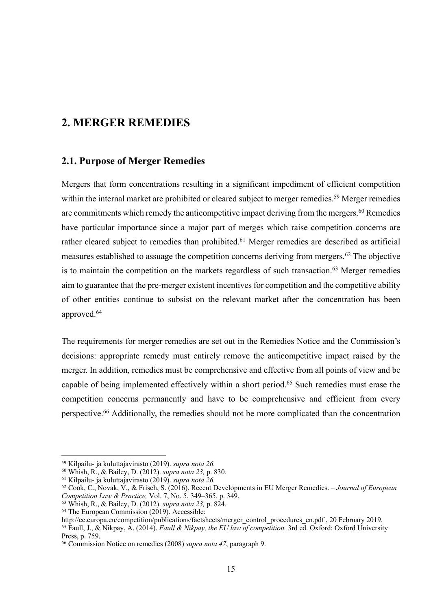## **2. MERGER REMEDIES**

#### **2.1. Purpose of Merger Remedies**

Mergers that form concentrations resulting in a significant impediment of efficient competition within the internal market are prohibited or cleared subject to merger remedies.<sup>59</sup> Merger remedies are commitments which remedy the anticompetitive impact deriving from the mergers.<sup>60</sup> Remedies have particular importance since a major part of merges which raise competition concerns are rather cleared subject to remedies than prohibited.<sup>61</sup> Merger remedies are described as artificial measures established to assuage the competition concerns deriving from mergers.<sup>62</sup> The objective is to maintain the competition on the markets regardless of such transaction.<sup>63</sup> Merger remedies aim to guarantee that the pre-merger existent incentives for competition and the competitive ability of other entities continue to subsist on the relevant market after the concentration has been approved. 64

The requirements for merger remedies are set out in the Remedies Notice and the Commission's decisions: appropriate remedy must entirely remove the anticompetitive impact raised by the merger. In addition, remedies must be comprehensive and effective from all points of view and be capable of being implemented effectively within a short period. <sup>65</sup> Such remedies must erase the competition concerns permanently and have to be comprehensive and efficient from every perspective.66 Additionally, the remedies should not be more complicated than the concentration

 <sup>59</sup> Kilpailu- ja kuluttajavirasto (2019). *supra nota 26.*

<sup>60</sup> Whish, R., & Bailey, D. (2012). *supra nota 23,* p. 830.

<sup>61</sup> Kilpailu- ja kuluttajavirasto (2019). *supra nota 26.*

<sup>62</sup> Cook, C., Novak, V., & Frisch, S. (2016). Recent Developments in EU Merger Remedies. – *Journal of European Competition Law & Practice,* Vol. 7, No. 5, 349–365. p. 349.

<sup>63</sup> Whish, R., & Bailey, D. (2012). *supra nota 23,* p. 824.

 $64$  The European Commission (2019). Accessible:

http://ec.europa.eu/competition/publications/factsheets/merger\_control\_procedures\_en.pdf , 20 February 2019. <sup>65</sup> Faull, J., & Nikpay, A. (2014). *Faull & Nikpay, the EU law of competition.* 3rd ed. Oxford: Oxford University Press, p. 759.

<sup>66</sup> Commission Notice on remedies (2008) *supra nota 47*, paragraph 9.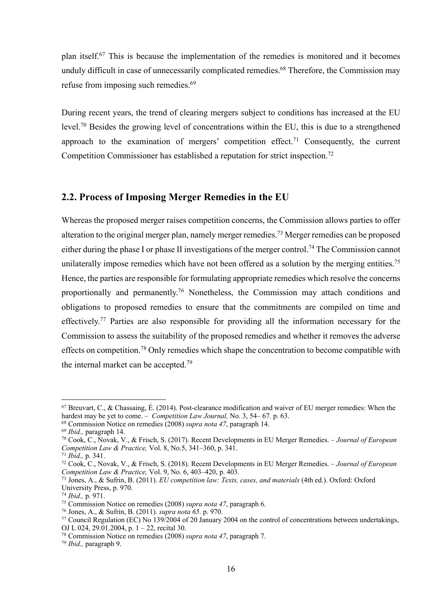plan itself.67 This is because the implementation of the remedies is monitored and it becomes unduly difficult in case of unnecessarily complicated remedies.<sup>68</sup> Therefore, the Commission may refuse from imposing such remedies.69

During recent years, the trend of clearing mergers subject to conditions has increased at the EU level.70 Besides the growing level of concentrations within the EU, this is due to a strengthened approach to the examination of mergers' competition effect.<sup>71</sup> Consequently, the current Competition Commissioner has established a reputation for strict inspection.<sup>72</sup>

### **2.2. Process of Imposing Merger Remedies in the EU**

Whereas the proposed merger raises competition concerns, the Commission allows parties to offer alteration to the original merger plan, namely merger remedies.<sup>73</sup> Merger remedies can be proposed either during the phase I or phase II investigations of the merger control.<sup>74</sup> The Commission cannot unilaterally impose remedies which have not been offered as a solution by the merging entities.<sup>75</sup> Hence, the parties are responsible for formulating appropriate remedies which resolve the concerns proportionally and permanently.<sup>76</sup> Nonetheless, the Commission may attach conditions and obligations to proposed remedies to ensure that the commitments are compiled on time and effectively.<sup>77</sup> Parties are also responsible for providing all the information necessary for the Commission to assess the suitability of the proposed remedies and whether it removes the adverse effects on competition.<sup>78</sup> Only remedies which shape the concentration to become compatible with the internal market can be accepted.<sup>79</sup>

 $67$  Breuvart, C., & Chassaing, É. (2014). Post-clearance modification and waiver of EU merger remedies: When the hardest may be yet to come. – *Competition Law Journal,* No. 3, 54– 67. p. 63.

<sup>68</sup> Commission Notice on remedies (2008) *supra nota 47*, paragraph 14.

<sup>69</sup> *Ibid.,* paragraph 14.

<sup>70</sup> Cook, C., Novak, V., & Frisch, S. (2017). Recent Developments in EU Merger Remedies. – *Journal of European Competition Law & Practice,* Vol. 8, No.5, 341–360, p. 341.

<sup>71</sup> *Ibid.,* p. 341.

<sup>72</sup> Cook, C., Novak, V., & Frisch, S. (2018). Recent Developments in EU Merger Remedies. – *Journal of European Competition Law & Practice,* Vol. 9, No. 6, 403–420, p. 403.

<sup>73</sup> Jones, A., & Sufrin, B. (2011). *EU competition law: Texts, cases, and materials* (4th ed.). Oxford: Oxford University Press, p. 970.

<sup>74</sup> *Ibid.,* p. 971.

<sup>75</sup> Commission Notice on remedies (2008) *supra nota 47*, paragraph 6.

<sup>76</sup> Jones, A., & Sufrin, B. (2011). *supra nota 65*. p. 970.

<sup>77</sup> Council Regulation (EC) No 139/2004 of 20 January 2004 on the control of concentrations between undertakings, OJ L 024, 29.01.2004, p.  $1 - 22$ , recital 30.

<sup>78</sup> Commission Notice on remedies (2008) *supra nota 47*, paragraph 7.

<sup>79</sup> *Ibid.,* paragraph 9.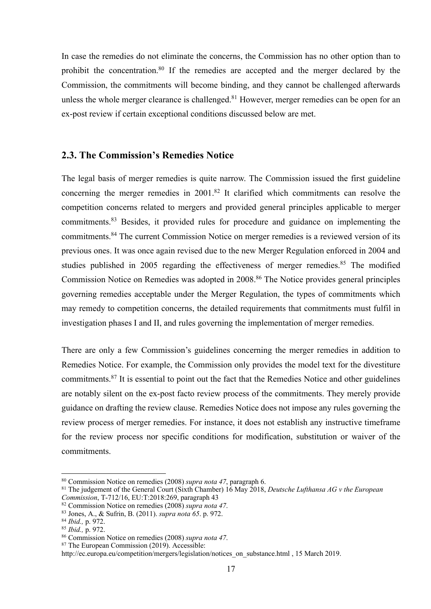In case the remedies do not eliminate the concerns, the Commission has no other option than to prohibit the concentration.80 If the remedies are accepted and the merger declared by the Commission, the commitments will become binding, and they cannot be challenged afterwards unless the whole merger clearance is challenged.<sup>81</sup> However, merger remedies can be open for an ex-post review if certain exceptional conditions discussed below are met.

## **2.3. The Commission's Remedies Notice**

The legal basis of merger remedies is quite narrow. The Commission issued the first guideline concerning the merger remedies in  $2001<sup>82</sup>$  It clarified which commitments can resolve the competition concerns related to mergers and provided general principles applicable to merger commitments.83 Besides, it provided rules for procedure and guidance on implementing the commitments.<sup>84</sup> The current Commission Notice on merger remedies is a reviewed version of its previous ones. It was once again revised due to the new Merger Regulation enforced in 2004 and studies published in 2005 regarding the effectiveness of merger remedies.<sup>85</sup> The modified Commission Notice on Remedies was adopted in 2008.<sup>86</sup> The Notice provides general principles governing remedies acceptable under the Merger Regulation, the types of commitments which may remedy to competition concerns, the detailed requirements that commitments must fulfil in investigation phases I and II, and rules governing the implementation of merger remedies.

There are only a few Commission's guidelines concerning the merger remedies in addition to Remedies Notice. For example, the Commission only provides the model text for the divestiture commitments.87 It is essential to point out the fact that the Remedies Notice and other guidelines are notably silent on the ex-post facto review process of the commitments. They merely provide guidance on drafting the review clause. Remedies Notice does not impose any rules governing the review process of merger remedies. For instance, it does not establish any instructive timeframe for the review process nor specific conditions for modification, substitution or waiver of the commitments.

 <sup>80</sup> Commission Notice on remedies (2008) *supra nota 47*, paragraph 6.

<sup>81</sup> The judgement of the General Court (Sixth Chamber) 16 May 2018, *Deutsche Lufthansa AG v the European Commission*, T-712/16, EU:T:2018:269, paragraph 43

<sup>82</sup> Commission Notice on remedies (2008) *supra nota 47*.

<sup>83</sup> Jones, A., & Sufrin, B. (2011). *supra nota 65*. p. 972.

<sup>84</sup> *Ibid.,* p. 972.

<sup>85</sup> *Ibid.,* p. 972.

<sup>86</sup> Commission Notice on remedies (2008) *supra nota 47*.

<sup>87</sup> The European Commission (2019). Accessible:

http://ec.europa.eu/competition/mergers/legislation/notices\_on\_substance.html , 15 March 2019.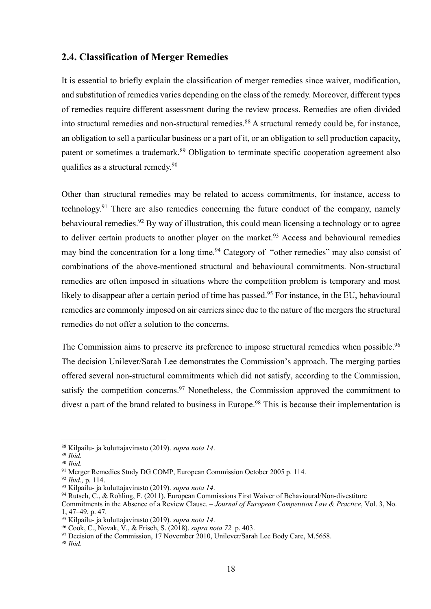### **2.4. Classification of Merger Remedies**

It is essential to briefly explain the classification of merger remedies since waiver, modification, and substitution of remedies varies depending on the class of the remedy. Moreover, different types of remedies require different assessment during the review process. Remedies are often divided into structural remedies and non-structural remedies.<sup>88</sup> A structural remedy could be, for instance, an obligation to sell a particular business or a part of it, or an obligation to sell production capacity, patent or sometimes a trademark.<sup>89</sup> Obligation to terminate specific cooperation agreement also qualifies as a structural remedy.<sup>90</sup>

Other than structural remedies may be related to access commitments, for instance, access to technology.<sup>91</sup> There are also remedies concerning the future conduct of the company, namely behavioural remedies.<sup>92</sup> By way of illustration, this could mean licensing a technology or to agree to deliver certain products to another player on the market.<sup>93</sup> Access and behavioural remedies may bind the concentration for a long time.<sup>94</sup> Category of "other remedies" may also consist of combinations of the above-mentioned structural and behavioural commitments. Non-structural remedies are often imposed in situations where the competition problem is temporary and most likely to disappear after a certain period of time has passed.<sup>95</sup> For instance, in the EU, behavioural remedies are commonly imposed on air carriers since due to the nature of the mergers the structural remedies do not offer a solution to the concerns.

The Commission aims to preserve its preference to impose structural remedies when possible.<sup>96</sup> The decision Unilever/Sarah Lee demonstrates the Commission's approach. The merging parties offered several non-structural commitments which did not satisfy, according to the Commission, satisfy the competition concerns.<sup>97</sup> Nonetheless, the Commission approved the commitment to divest a part of the brand related to business in Europe.<sup>98</sup> This is because their implementation is

<sup>97</sup> Decision of the Commission, 17 November 2010, Unilever/Sarah Lee Body Care, M.5658.

<sup>98</sup> *Ibid.*

 <sup>88</sup> Kilpailu- ja kuluttajavirasto (2019). *supra nota 14*.

<sup>89</sup> *Ibid.*

<sup>90</sup> *Ibid.*

<sup>&</sup>lt;sup>91</sup> Merger Remedies Study DG COMP, European Commission October 2005 p. 114.

<sup>92</sup> *Ibid.,* p. 114.

<sup>93</sup> Kilpailu- ja kuluttajavirasto (2019). *supra nota 14*.

<sup>94</sup> Rutsch, C., & Rohling, F. (2011). European Commissions First Waiver of Behavioural/Non-divestiture

Commitments in the Absence of a Review Clause. – *Journal of European Competition Law & Practice*, Vol. 3, No. 1, 47–49. p. 47.

<sup>95</sup> Kilpailu- ja kuluttajavirasto (2019). *supra nota 14*.

<sup>96</sup> Cook, C., Novak, V., & Frisch, S. (2018). *supra nota 72,* p. 403.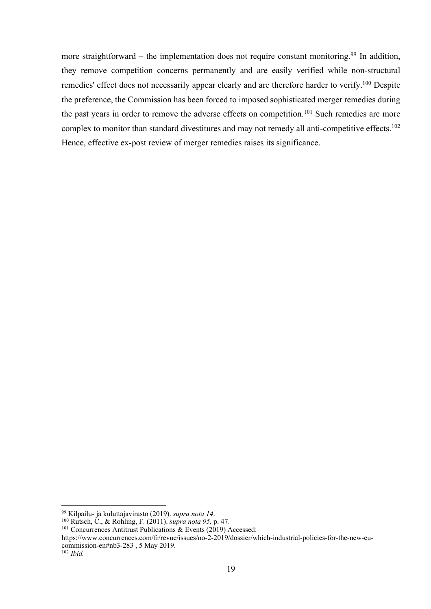more straightforward – the implementation does not require constant monitoring.<sup>99</sup> In addition, they remove competition concerns permanently and are easily verified while non-structural remedies' effect does not necessarily appear clearly and are therefore harder to verify.<sup>100</sup> Despite the preference, the Commission has been forced to imposed sophisticated merger remedies during the past years in order to remove the adverse effects on competition.<sup>101</sup> Such remedies are more complex to monitor than standard divestitures and may not remedy all anti-competitive effects.<sup>102</sup> Hence, effective ex-post review of merger remedies raises its significance.

 <sup>99</sup> Kilpailu- ja kuluttajavirasto (2019). *supra nota 14*.

<sup>100</sup> Rutsch, C., & Rohling, F. (2011). *supra nota 95,* p. 47.

<sup>&</sup>lt;sup>101</sup> Concurrences Antitrust Publications & Events (2019) Accessed:

https://www.concurrences.com/fr/revue/issues/no-2-2019/dossier/which-industrial-policies-for-the-new-eucommission-en#nb3-283 , 5 May 2019.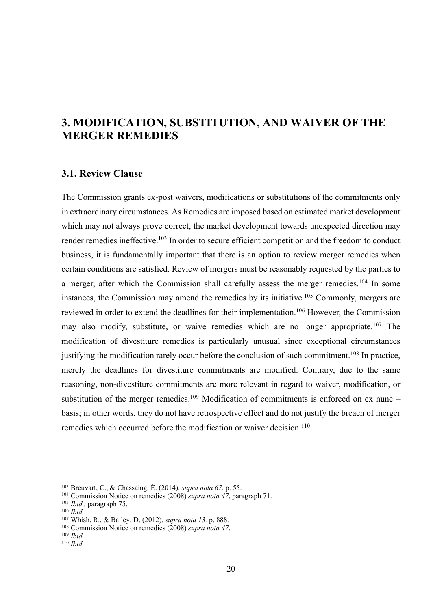# **3. MODIFICATION, SUBSTITUTION, AND WAIVER OF THE MERGER REMEDIES**

#### **3.1. Review Clause**

The Commission grants ex-post waivers, modifications or substitutions of the commitments only in extraordinary circumstances. As Remedies are imposed based on estimated market development which may not always prove correct, the market development towards unexpected direction may render remedies ineffective.<sup>103</sup> In order to secure efficient competition and the freedom to conduct business, it is fundamentally important that there is an option to review merger remedies when certain conditions are satisfied. Review of mergers must be reasonably requested by the parties to a merger, after which the Commission shall carefully assess the merger remedies.<sup>104</sup> In some instances, the Commission may amend the remedies by its initiative.105 Commonly, mergers are reviewed in order to extend the deadlines for their implementation.<sup>106</sup> However, the Commission may also modify, substitute, or waive remedies which are no longer appropriate.<sup>107</sup> The modification of divestiture remedies is particularly unusual since exceptional circumstances justifying the modification rarely occur before the conclusion of such commitment.<sup>108</sup> In practice, merely the deadlines for divestiture commitments are modified. Contrary, due to the same reasoning, non-divestiture commitments are more relevant in regard to waiver, modification, or substitution of the merger remedies.<sup>109</sup> Modification of commitments is enforced on ex nunc basis; in other words, they do not have retrospective effect and do not justify the breach of merger remedies which occurred before the modification or waiver decision.<sup>110</sup>

 <sup>103</sup> Breuvart, C., & Chassaing, É. (2014). *supra nota 67.* p. 55.

<sup>104</sup> Commission Notice on remedies (2008) *supra nota 47*, paragraph 71.

<sup>105</sup> *Ibid.,* paragraph 75.

<sup>106</sup> *Ibid.*

<sup>107</sup> Whish, R., & Bailey, D. (2012). *supra nota 13.* p. 888.

<sup>108</sup> Commission Notice on remedies (2008) *supra nota 47*.

<sup>109</sup> *Ibid.*

<sup>110</sup> *Ibid.*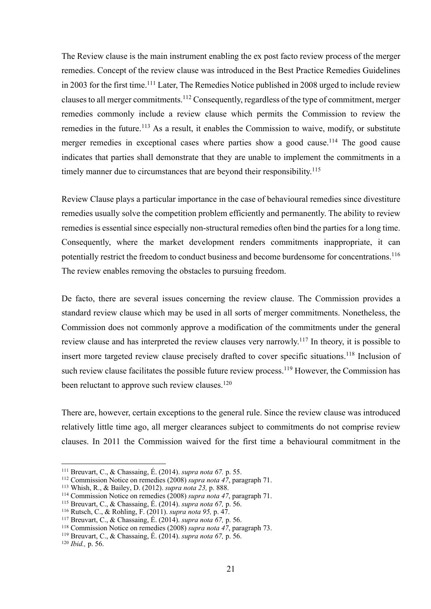The Review clause is the main instrument enabling the ex post facto review process of the merger remedies. Concept of the review clause was introduced in the Best Practice Remedies Guidelines in 2003 for the first time.<sup>111</sup> Later, The Remedies Notice published in 2008 urged to include review clauses to all merger commitments.112 Consequently, regardless of the type of commitment, merger remedies commonly include a review clause which permits the Commission to review the remedies in the future.<sup>113</sup> As a result, it enables the Commission to waive, modify, or substitute merger remedies in exceptional cases where parties show a good cause.<sup>114</sup> The good cause indicates that parties shall demonstrate that they are unable to implement the commitments in a timely manner due to circumstances that are beyond their responsibility.<sup>115</sup>

Review Clause plays a particular importance in the case of behavioural remedies since divestiture remedies usually solve the competition problem efficiently and permanently. The ability to review remedies is essential since especially non-structural remedies often bind the parties for a long time. Consequently, where the market development renders commitments inappropriate, it can potentially restrict the freedom to conduct business and become burdensome for concentrations.<sup>116</sup> The review enables removing the obstacles to pursuing freedom.

De facto, there are several issues concerning the review clause. The Commission provides a standard review clause which may be used in all sorts of merger commitments. Nonetheless, the Commission does not commonly approve a modification of the commitments under the general review clause and has interpreted the review clauses very narrowly.<sup>117</sup> In theory, it is possible to insert more targeted review clause precisely drafted to cover specific situations.<sup>118</sup> Inclusion of such review clause facilitates the possible future review process.<sup>119</sup> However, the Commission has been reluctant to approve such review clauses.<sup>120</sup>

There are, however, certain exceptions to the general rule. Since the review clause was introduced relatively little time ago, all merger clearances subject to commitments do not comprise review clauses. In 2011 the Commission waived for the first time a behavioural commitment in the

 <sup>111</sup> Breuvart, C., & Chassaing, É. (2014). *supra nota 67.* p. 55.

<sup>112</sup> Commission Notice on remedies (2008) *supra nota 47*, paragraph 71.

<sup>113</sup> Whish, R., & Bailey, D. (2012). *supra nota 23,* p. 888.

<sup>114</sup> Commission Notice on remedies (2008) *supra nota 47*, paragraph 71.

<sup>115</sup> Breuvart, C., & Chassaing, É. (2014). *supra nota 67,* p. 56.

<sup>116</sup> Rutsch, C., & Rohling, F. (2011). *supra nota 95,* p. 47.

<sup>117</sup> Breuvart, C., & Chassaing, É. (2014). *supra nota 67,* p. 56.

<sup>118</sup> Commission Notice on remedies (2008) *supra nota 47*, paragraph 73.

<sup>119</sup> Breuvart, C., & Chassaing, É. (2014). *supra nota 67,* p. 56.

<sup>120</sup> *Ibid.,* p. 56.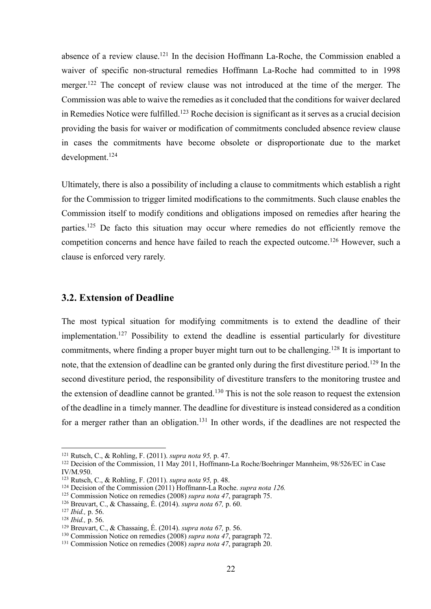absence of a review clause.<sup>121</sup> In the decision Hoffmann La-Roche, the Commission enabled a waiver of specific non-structural remedies Hoffmann La-Roche had committed to in 1998 merger.<sup>122</sup> The concept of review clause was not introduced at the time of the merger. The Commission was able to waive the remedies as it concluded that the conditions for waiver declared in Remedies Notice were fulfilled.<sup>123</sup> Roche decision is significant as it serves as a crucial decision providing the basis for waiver or modification of commitments concluded absence review clause in cases the commitments have become obsolete or disproportionate due to the market development. 124

Ultimately, there is also a possibility of including a clause to commitments which establish a right for the Commission to trigger limited modifications to the commitments. Such clause enables the Commission itself to modify conditions and obligations imposed on remedies after hearing the parties.<sup>125</sup> De facto this situation may occur where remedies do not efficiently remove the competition concerns and hence have failed to reach the expected outcome.<sup>126</sup> However, such a clause is enforced very rarely.

## **3.2. Extension of Deadline**

The most typical situation for modifying commitments is to extend the deadline of their implementation. <sup>127</sup> Possibility to extend the deadline is essential particularly for divestiture commitments, where finding a proper buyer might turn out to be challenging.<sup>128</sup> It is important to note, that the extension of deadline can be granted only during the first divestiture period.<sup>129</sup> In the second divestiture period, the responsibility of divestiture transfers to the monitoring trustee and the extension of deadline cannot be granted.<sup>130</sup> This is not the sole reason to request the extension of the deadline in a timely manner. The deadline for divestiture is instead considered as a condition for a merger rather than an obligation.<sup>131</sup> In other words, if the deadlines are not respected the

 <sup>121</sup> Rutsch, C., & Rohling, F. (2011). *supra nota 95,* p. 47.

<sup>&</sup>lt;sup>122</sup> Decision of the Commission, 11 May 2011, Hoffmann-La Roche/Boehringer Mannheim, 98/526/EC in Case IV/M.950.

<sup>123</sup> Rutsch, C., & Rohling, F. (2011). *supra nota 95,* p. 48.

<sup>124</sup> Decision of the Commission (2011) Hoffmann-La Roche. *supra nota 126.*

<sup>125</sup> Commission Notice on remedies (2008) *supra nota 47*, paragraph 75.

<sup>126</sup> Breuvart, C., & Chassaing, É. (2014). *supra nota 67,* p. 60.

<sup>127</sup> *Ibid.,* p. 56.

<sup>128</sup> *Ibid.,* p. 56.

<sup>129</sup> Breuvart, C., & Chassaing, É. (2014). *supra nota 67,* p. 56.

<sup>130</sup> Commission Notice on remedies (2008) *supra nota 47*, paragraph 72.

<sup>131</sup> Commission Notice on remedies (2008) *supra nota 47*, paragraph 20.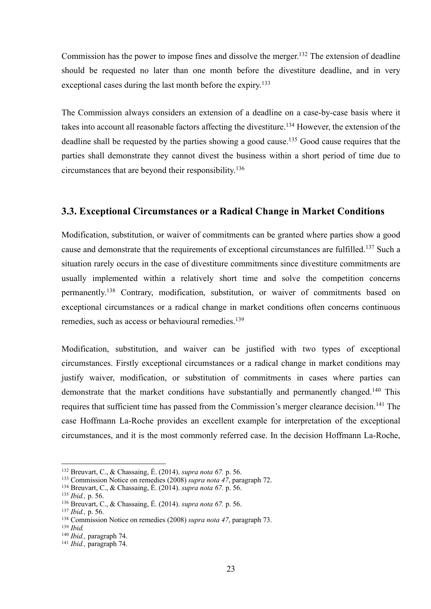Commission has the power to impose fines and dissolve the merger.<sup>132</sup> The extension of deadline should be requested no later than one month before the divestiture deadline, and in very exceptional cases during the last month before the expiry.<sup>133</sup>

The Commission always considers an extension of a deadline on a case-by-case basis where it takes into account all reasonable factors affecting the divestiture.<sup>134</sup> However, the extension of the deadline shall be requested by the parties showing a good cause.<sup>135</sup> Good cause requires that the parties shall demonstrate they cannot divest the business within a short period of time due to circumstances that are beyond their responsibility.136

## **3.3. Exceptional Circumstances or a Radical Change in Market Conditions**

Modification, substitution, or waiver of commitments can be granted where parties show a good cause and demonstrate that the requirements of exceptional circumstances are fulfilled.<sup>137</sup> Such a situation rarely occurs in the case of divestiture commitments since divestiture commitments are usually implemented within a relatively short time and solve the competition concerns permanently.<sup>138</sup> Contrary, modification, substitution, or waiver of commitments based on exceptional circumstances or a radical change in market conditions often concerns continuous remedies, such as access or behavioural remedies.<sup>139</sup>

Modification, substitution, and waiver can be justified with two types of exceptional circumstances. Firstly exceptional circumstances or a radical change in market conditions may justify waiver, modification, or substitution of commitments in cases where parties can demonstrate that the market conditions have substantially and permanently changed.140 This requires that sufficient time has passed from the Commission's merger clearance decision. <sup>141</sup> The case Hoffmann La-Roche provides an excellent example for interpretation of the exceptional circumstances, and it is the most commonly referred case. In the decision Hoffmann La-Roche,

<sup>134</sup> Breuvart, C., & Chassaing, É. (2014). *supra nota 67.* p. 56.

 <sup>132</sup> Breuvart, C., & Chassaing, É. (2014). *supra nota 67.* p. 56.

<sup>133</sup> Commission Notice on remedies (2008) *supra nota 47*, paragraph 72.

<sup>135</sup> *Ibid.,* p. 56.

<sup>136</sup> Breuvart, C., & Chassaing, É. (2014). *supra nota 67.* p. 56.

<sup>137</sup> *Ibid.,* p. 56.

<sup>138</sup> Commission Notice on remedies (2008) *supra nota 47*, paragraph 73.

<sup>139</sup> *Ibid.*

<sup>140</sup> *Ibid.,* paragraph 74.

<sup>141</sup> *Ibid.,* paragraph 74.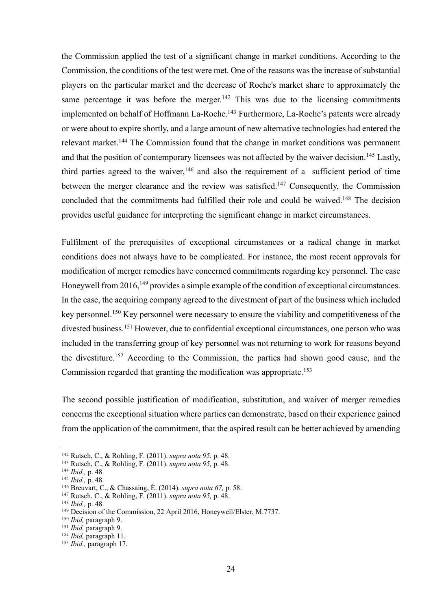the Commission applied the test of a significant change in market conditions. According to the Commission, the conditions of the test were met. One of the reasons was the increase of substantial players on the particular market and the decrease of Roche's market share to approximately the same percentage it was before the merger.<sup>142</sup> This was due to the licensing commitments implemented on behalf of Hoffmann La-Roche.<sup>143</sup> Furthermore, La-Roche's patents were already or were about to expire shortly, and a large amount of new alternative technologies had entered the relevant market.144 The Commission found that the change in market conditions was permanent and that the position of contemporary licensees was not affected by the waiver decision.<sup>145</sup> Lastly, third parties agreed to the waiver,<sup>146</sup> and also the requirement of a sufficient period of time between the merger clearance and the review was satisfied.<sup>147</sup> Consequently, the Commission concluded that the commitments had fulfilled their role and could be waived.<sup>148</sup> The decision provides useful guidance for interpreting the significant change in market circumstances.

Fulfilment of the prerequisites of exceptional circumstances or a radical change in market conditions does not always have to be complicated. For instance, the most recent approvals for modification of merger remedies have concerned commitments regarding key personnel. The case Honeywell from 2016,<sup>149</sup> provides a simple example of the condition of exceptional circumstances. In the case, the acquiring company agreed to the divestment of part of the business which included key personnel.<sup>150</sup> Key personnel were necessary to ensure the viability and competitiveness of the divested business.151 However, due to confidential exceptional circumstances, one person who was included in the transferring group of key personnel was not returning to work for reasons beyond the divestiture.<sup>152</sup> According to the Commission, the parties had shown good cause, and the Commission regarded that granting the modification was appropriate.<sup>153</sup>

The second possible justification of modification, substitution, and waiver of merger remedies concerns the exceptional situation where parties can demonstrate, based on their experience gained from the application of the commitment, that the aspired result can be better achieved by amending

 <sup>142</sup> Rutsch, C., & Rohling, F. (2011). *supra nota 95.* p. 48.

<sup>143</sup> Rutsch, C., & Rohling, F. (2011). *supra nota 95,* p. 48.

<sup>144</sup> *Ibid.,* p. 48.

<sup>145</sup> *Ibid.,* p. 48.

<sup>146</sup> Breuvart, C., & Chassaing, É. (2014). *supra nota 67,* p. 58.

<sup>147</sup> Rutsch, C., & Rohling, F. (2011). *supra nota 95,* p. 48.

<sup>148</sup> *Ibid.,* p. 48.

<sup>&</sup>lt;sup>149</sup> Decision of the Commission, 22 April 2016, Honeywell/Elster, M.7737.

<sup>150</sup> *Ibid,* paragraph 9.

<sup>151</sup> *Ibid.* paragraph 9.

<sup>152</sup> *Ibid,* paragraph 11.

<sup>153</sup> *Ibid.,* paragraph 17.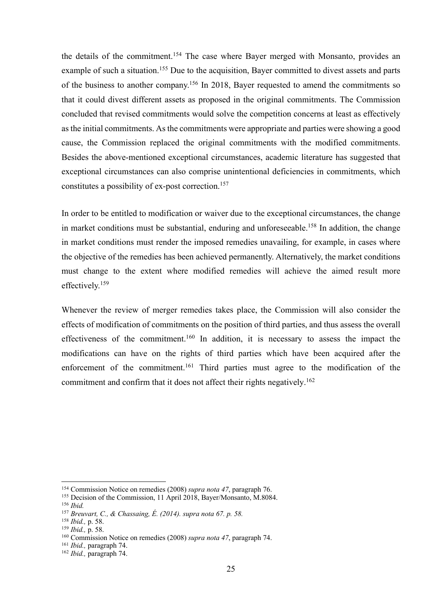the details of the commitment.154 The case where Bayer merged with Monsanto, provides an example of such a situation.<sup>155</sup> Due to the acquisition, Bayer committed to divest assets and parts of the business to another company.<sup>156</sup> In 2018, Bayer requested to amend the commitments so that it could divest different assets as proposed in the original commitments. The Commission concluded that revised commitments would solve the competition concerns at least as effectively as the initial commitments. As the commitments were appropriate and parties were showing a good cause, the Commission replaced the original commitments with the modified commitments. Besides the above-mentioned exceptional circumstances, academic literature has suggested that exceptional circumstances can also comprise unintentional deficiencies in commitments, which constitutes a possibility of ex-post correction. 157

In order to be entitled to modification or waiver due to the exceptional circumstances, the change in market conditions must be substantial, enduring and unforeseeable. <sup>158</sup> In addition, the change in market conditions must render the imposed remedies unavailing, for example, in cases where the objective of the remedies has been achieved permanently. Alternatively, the market conditions must change to the extent where modified remedies will achieve the aimed result more effectively.<sup>159</sup>

Whenever the review of merger remedies takes place, the Commission will also consider the effects of modification of commitments on the position of third parties, and thus assess the overall effectiveness of the commitment.<sup>160</sup> In addition, it is necessary to assess the impact the modifications can have on the rights of third parties which have been acquired after the enforcement of the commitment.<sup>161</sup> Third parties must agree to the modification of the commitment and confirm that it does not affect their rights negatively.<sup>162</sup>

 <sup>154</sup> Commission Notice on remedies (2008) *supra nota 47*, paragraph 76.

<sup>155</sup> Decision of the Commission, 11 April 2018, Bayer/Monsanto, M.8084.

<sup>156</sup> *Ibid.*

<sup>157</sup> *Breuvart, C., & Chassaing, É. (2014). supra nota 67. p. 58.*

<sup>158</sup> *Ibid.,* p. 58.

<sup>159</sup> *Ibid.,* p. 58.

<sup>160</sup> Commission Notice on remedies (2008) *supra nota 47*, paragraph 74.

<sup>161</sup> *Ibid.,* paragraph 74.

<sup>162</sup> *Ibid.,* paragraph 74.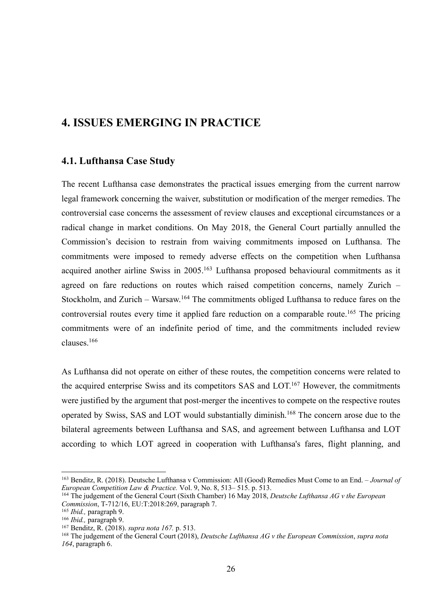## **4. ISSUES EMERGING IN PRACTICE**

### **4.1. Lufthansa Case Study**

The recent Lufthansa case demonstrates the practical issues emerging from the current narrow legal framework concerning the waiver, substitution or modification of the merger remedies. The controversial case concerns the assessment of review clauses and exceptional circumstances or a radical change in market conditions. On May 2018, the General Court partially annulled the Commission's decision to restrain from waiving commitments imposed on Lufthansa. The commitments were imposed to remedy adverse effects on the competition when Lufthansa acquired another airline Swiss in 2005.<sup>163</sup> Lufthansa proposed behavioural commitments as it agreed on fare reductions on routes which raised competition concerns, namely Zurich – Stockholm, and Zurich - Warsaw.<sup>164</sup> The commitments obliged Lufthansa to reduce fares on the controversial routes every time it applied fare reduction on a comparable route.<sup>165</sup> The pricing commitments were of an indefinite period of time, and the commitments included review clauses. 166

As Lufthansa did not operate on either of these routes, the competition concerns were related to the acquired enterprise Swiss and its competitors SAS and  $LOT<sup>167</sup>$  However, the commitments were justified by the argument that post-merger the incentives to compete on the respective routes operated by Swiss, SAS and LOT would substantially diminish.168 The concern arose due to the bilateral agreements between Lufthansa and SAS, and agreement between Lufthansa and LOT according to which LOT agreed in cooperation with Lufthansa's fares, flight planning, and

 <sup>163</sup> Benditz, R. (2018). Deutsche Lufthansa v Commission: All (Good) Remedies Must Come to an End. – *Journal of European Competition Law & Practice.* Vol. 9, No. 8, 513– 515. p. 513.

<sup>164</sup> The judgement of the General Court (Sixth Chamber) 16 May 2018, *Deutsche Lufthansa AG v the European Commission*, T-712/16, EU:T:2018:269, paragraph 7.

<sup>165</sup> *Ibid.,* paragraph 9.

<sup>166</sup> *Ibid.,* paragraph 9.

<sup>167</sup> Benditz, R. (2018). *supra nota 167.* p. 513.

<sup>168</sup> The judgement of the General Court (2018), *Deutsche Lufthansa AG v the European Commission*, *supra nota 164*, paragraph 6.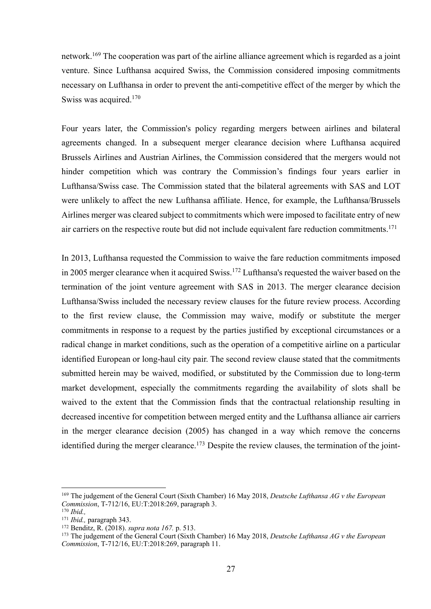network.169 The cooperation was part of the airline alliance agreement which is regarded as a joint venture. Since Lufthansa acquired Swiss, the Commission considered imposing commitments necessary on Lufthansa in order to prevent the anti-competitive effect of the merger by which the Swiss was acquired.<sup>170</sup>

Four years later, the Commission's policy regarding mergers between airlines and bilateral agreements changed. In a subsequent merger clearance decision where Lufthansa acquired Brussels Airlines and Austrian Airlines, the Commission considered that the mergers would not hinder competition which was contrary the Commission's findings four years earlier in Lufthansa/Swiss case. The Commission stated that the bilateral agreements with SAS and LOT were unlikely to affect the new Lufthansa affiliate. Hence, for example, the Lufthansa/Brussels Airlines merger was cleared subject to commitments which were imposed to facilitate entry of new air carriers on the respective route but did not include equivalent fare reduction commitments. 171

In 2013, Lufthansa requested the Commission to waive the fare reduction commitments imposed in 2005 merger clearance when it acquired Swiss.<sup>172</sup> Lufthansa's requested the waiver based on the termination of the joint venture agreement with SAS in 2013. The merger clearance decision Lufthansa/Swiss included the necessary review clauses for the future review process. According to the first review clause, the Commission may waive, modify or substitute the merger commitments in response to a request by the parties justified by exceptional circumstances or a radical change in market conditions, such as the operation of a competitive airline on a particular identified European or long-haul city pair. The second review clause stated that the commitments submitted herein may be waived, modified, or substituted by the Commission due to long-term market development, especially the commitments regarding the availability of slots shall be waived to the extent that the Commission finds that the contractual relationship resulting in decreased incentive for competition between merged entity and the Lufthansa alliance air carriers in the merger clearance decision (2005) has changed in a way which remove the concerns identified during the merger clearance.<sup>173</sup> Despite the review clauses, the termination of the joint-

 <sup>169</sup> The judgement of the General Court (Sixth Chamber) 16 May 2018, *Deutsche Lufthansa AG v the European Commission*, T-712/16, EU:T:2018:269, paragraph 3.

<sup>170</sup> *Ibid.,*

<sup>171</sup> *Ibid.,* paragraph 343. <sup>172</sup> Benditz, R. (2018). *supra nota 167.* p. 513.

<sup>173</sup> The judgement of the General Court (Sixth Chamber) 16 May 2018, *Deutsche Lufthansa AG v the European Commission*, T-712/16, EU:T:2018:269, paragraph 11.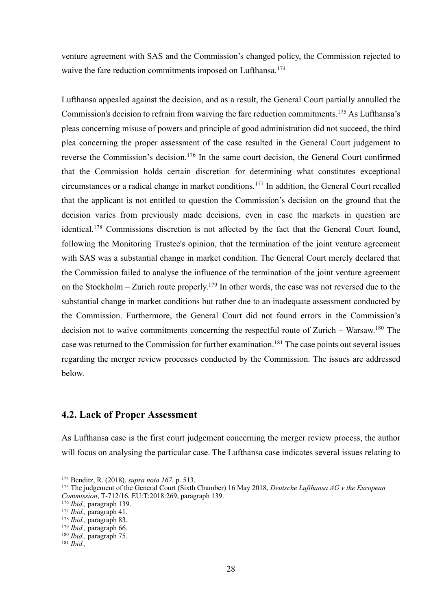venture agreement with SAS and the Commission's changed policy, the Commission rejected to waive the fare reduction commitments imposed on Lufthansa.<sup>174</sup>

Lufthansa appealed against the decision, and as a result, the General Court partially annulled the Commission's decision to refrain from waiving the fare reduction commitments.175 As Lufthansa's pleas concerning misuse of powers and principle of good administration did not succeed, the third plea concerning the proper assessment of the case resulted in the General Court judgement to reverse the Commission's decision.<sup>176</sup> In the same court decision, the General Court confirmed that the Commission holds certain discretion for determining what constitutes exceptional circumstances or a radical change in market conditions.177 In addition, the General Court recalled that the applicant is not entitled to question the Commission's decision on the ground that the decision varies from previously made decisions, even in case the markets in question are identical.<sup>178</sup> Commissions discretion is not affected by the fact that the General Court found, following the Monitoring Trustee's opinion, that the termination of the joint venture agreement with SAS was a substantial change in market condition. The General Court merely declared that the Commission failed to analyse the influence of the termination of the joint venture agreement on the Stockholm – Zurich route properly.<sup>179</sup> In other words, the case was not reversed due to the substantial change in market conditions but rather due to an inadequate assessment conducted by the Commission. Furthermore, the General Court did not found errors in the Commission's decision not to waive commitments concerning the respectful route of Zurich – Warsaw.<sup>180</sup> The case was returned to the Commission for further examination.<sup>181</sup> The case points out several issues regarding the merger review processes conducted by the Commission. The issues are addressed below.

#### **4.2. Lack of Proper Assessment**

As Lufthansa case is the first court judgement concerning the merger review process, the author will focus on analysing the particular case. The Lufthansa case indicates several issues relating to

 <sup>174</sup> Benditz, R. (2018). *supra nota 167.* p. 513.

<sup>175</sup> The judgement of the General Court (Sixth Chamber) 16 May 2018, *Deutsche Lufthansa AG v the European Commission*, T-712/16, EU:T:2018:269, paragraph 139.

<sup>176</sup> *Ibid.,* paragraph 139.

<sup>177</sup> *Ibid.,* paragraph 41.

<sup>178</sup> *Ibid.,* paragraph 83.

<sup>179</sup> *Ibid.,* paragraph 66.

<sup>180</sup> *Ibid.,* paragraph 75.

<sup>181</sup> *Ibid.,*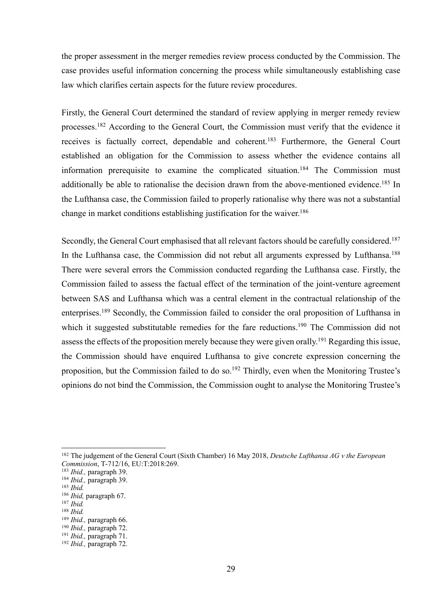the proper assessment in the merger remedies review process conducted by the Commission. The case provides useful information concerning the process while simultaneously establishing case law which clarifies certain aspects for the future review procedures.

Firstly, the General Court determined the standard of review applying in merger remedy review processes.<sup>182</sup> According to the General Court, the Commission must verify that the evidence it receives is factually correct, dependable and coherent.<sup>183</sup> Furthermore, the General Court established an obligation for the Commission to assess whether the evidence contains all information prerequisite to examine the complicated situation.184 The Commission must additionally be able to rationalise the decision drawn from the above-mentioned evidence.<sup>185</sup> In the Lufthansa case, the Commission failed to properly rationalise why there was not a substantial change in market conditions establishing justification for the waiver.<sup>186</sup>

Secondly, the General Court emphasised that all relevant factors should be carefully considered.<sup>187</sup> In the Lufthansa case, the Commission did not rebut all arguments expressed by Lufthansa.<sup>188</sup> There were several errors the Commission conducted regarding the Lufthansa case. Firstly, the Commission failed to assess the factual effect of the termination of the joint-venture agreement between SAS and Lufthansa which was a central element in the contractual relationship of the enterprises.<sup>189</sup> Secondly, the Commission failed to consider the oral proposition of Lufthansa in which it suggested substitutable remedies for the fare reductions.<sup>190</sup> The Commission did not assess the effects of the proposition merely because they were given orally.<sup>191</sup> Regarding this issue, the Commission should have enquired Lufthansa to give concrete expression concerning the proposition, but the Commission failed to do so.<sup>192</sup> Thirdly, even when the Monitoring Trustee's opinions do not bind the Commission, the Commission ought to analyse the Monitoring Trustee's

 <sup>182</sup> The judgement of the General Court (Sixth Chamber) 16 May 2018, *Deutsche Lufthansa AG v the European Commission*, T-712/16, EU:T:2018:269.

<sup>183</sup> *Ibid.,* paragraph 39.

<sup>184</sup> *Ibid.,* paragraph 39.

<sup>185</sup> *Ibid.*

<sup>186</sup> *Ibid,* paragraph 67.

<sup>187</sup> *Ibid.*

<sup>188</sup> *Ibid.*

<sup>189</sup> *Ibid.,* paragraph 66.

<sup>190</sup> *Ibid.,* paragraph 72.

<sup>191</sup> *Ibid.,* paragraph 71.

<sup>192</sup> *Ibid.,* paragraph 72.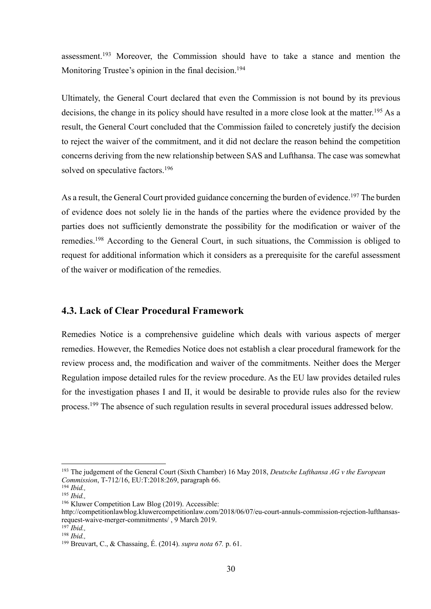assessment.<sup>193</sup> Moreover, the Commission should have to take a stance and mention the Monitoring Trustee's opinion in the final decision.<sup>194</sup>

Ultimately, the General Court declared that even the Commission is not bound by its previous decisions, the change in its policy should have resulted in a more close look at the matter.<sup>195</sup> As a result, the General Court concluded that the Commission failed to concretely justify the decision to reject the waiver of the commitment, and it did not declare the reason behind the competition concerns deriving from the new relationship between SAS and Lufthansa. The case was somewhat solved on speculative factors.<sup>196</sup>

As a result, the General Court provided guidance concerning the burden of evidence.<sup>197</sup> The burden of evidence does not solely lie in the hands of the parties where the evidence provided by the parties does not sufficiently demonstrate the possibility for the modification or waiver of the remedies.198 According to the General Court, in such situations, the Commission is obliged to request for additional information which it considers as a prerequisite for the careful assessment of the waiver or modification of the remedies.

## **4.3. Lack of Clear Procedural Framework**

Remedies Notice is a comprehensive guideline which deals with various aspects of merger remedies. However, the Remedies Notice does not establish a clear procedural framework for the review process and, the modification and waiver of the commitments. Neither does the Merger Regulation impose detailed rules for the review procedure. As the EU law provides detailed rules for the investigation phases I and II, it would be desirable to provide rules also for the review process.<sup>199</sup> The absence of such regulation results in several procedural issues addressed below.

 <sup>193</sup> The judgement of the General Court (Sixth Chamber) 16 May 2018, *Deutsche Lufthansa AG v the European Commission*, T-712/16, EU:T:2018:269, paragraph 66. <sup>194</sup> *Ibid.,*

 $195$  *Ihid.* 

<sup>196</sup> Kluwer Competition Law Blog (2019). Accessible:

http://competitionlawblog.kluwercompetitionlaw.com/2018/06/07/eu-court-annuls-commission-rejection-lufthansasrequest-waive-merger-commitments/ , 9 March 2019.

<sup>197</sup> *Ibid.,*

<sup>198</sup> *Ibid.,*

<sup>199</sup> Breuvart, C., & Chassaing, É. (2014). *supra nota 67.* p. 61.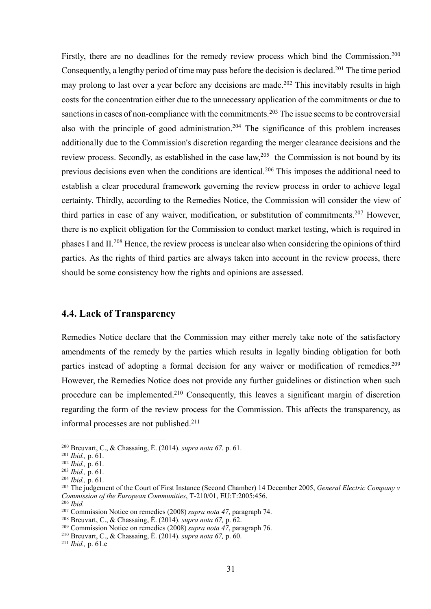Firstly, there are no deadlines for the remedy review process which bind the Commission.<sup>200</sup> Consequently, a lengthy period of time may pass before the decision is declared.<sup>201</sup> The time period may prolong to last over a year before any decisions are made.<sup>202</sup> This inevitably results in high costs for the concentration either due to the unnecessary application of the commitments or due to sanctions in cases of non-compliance with the commitments.<sup>203</sup> The issue seems to be controversial also with the principle of good administration.<sup>204</sup> The significance of this problem increases additionally due to the Commission's discretion regarding the merger clearance decisions and the review process. Secondly, as established in the case  $law<sub>1</sub><sup>205</sup>$  the Commission is not bound by its previous decisions even when the conditions are identical.206 This imposes the additional need to establish a clear procedural framework governing the review process in order to achieve legal certainty. Thirdly, according to the Remedies Notice, the Commission will consider the view of third parties in case of any waiver, modification, or substitution of commitments.<sup>207</sup> However, there is no explicit obligation for the Commission to conduct market testing, which is required in phases I and II.208 Hence, the review process is unclear also when considering the opinions of third parties. As the rights of third parties are always taken into account in the review process, there should be some consistency how the rights and opinions are assessed.

### **4.4. Lack of Transparency**

Remedies Notice declare that the Commission may either merely take note of the satisfactory amendments of the remedy by the parties which results in legally binding obligation for both parties instead of adopting a formal decision for any waiver or modification of remedies.<sup>209</sup> However, the Remedies Notice does not provide any further guidelines or distinction when such procedure can be implemented.<sup>210</sup> Consequently, this leaves a significant margin of discretion regarding the form of the review process for the Commission. This affects the transparency, as informal processes are not published.<sup>211</sup>

 <sup>200</sup> Breuvart, C., & Chassaing, É. (2014). *supra nota 67.* p. 61.

<sup>201</sup> *Ibid.,* p. 61.

<sup>202</sup> *Ibid.,* p. 61.

<sup>203</sup> *Ibid.,* p. 61.

<sup>204</sup> *Ibid.,* p. 61.

<sup>205</sup> The judgement of the Court of First Instance (Second Chamber) 14 December 2005, *General Electric Company v Commission of the European Communities*, T-210/01, EU:T:2005:456.

<sup>206</sup> *Ibid.*

<sup>207</sup> Commission Notice on remedies (2008) *supra nota 47*, paragraph 74.

<sup>208</sup> Breuvart, C., & Chassaing, É. (2014). *supra nota 67,* p. 62.

<sup>209</sup> Commission Notice on remedies (2008) *supra nota 47*, paragraph 76.

<sup>210</sup> Breuvart, C., & Chassaing, É. (2014). *supra nota 67,* p. 60.

<sup>211</sup> *Ibid.,* p. 61.e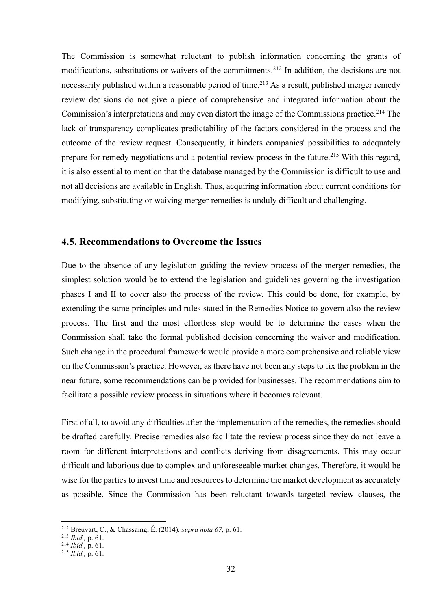The Commission is somewhat reluctant to publish information concerning the grants of modifications, substitutions or waivers of the commitments.<sup>212</sup> In addition, the decisions are not necessarily published within a reasonable period of time.<sup>213</sup> As a result, published merger remedy review decisions do not give a piece of comprehensive and integrated information about the Commission's interpretations and may even distort the image of the Commissions practice. <sup>214</sup> The lack of transparency complicates predictability of the factors considered in the process and the outcome of the review request. Consequently, it hinders companies' possibilities to adequately prepare for remedy negotiations and a potential review process in the future.<sup>215</sup> With this regard, it is also essential to mention that the database managed by the Commission is difficult to use and not all decisions are available in English. Thus, acquiring information about current conditions for modifying, substituting or waiving merger remedies is unduly difficult and challenging.

#### **4.5. Recommendations to Overcome the Issues**

Due to the absence of any legislation guiding the review process of the merger remedies, the simplest solution would be to extend the legislation and guidelines governing the investigation phases I and II to cover also the process of the review. This could be done, for example, by extending the same principles and rules stated in the Remedies Notice to govern also the review process. The first and the most effortless step would be to determine the cases when the Commission shall take the formal published decision concerning the waiver and modification. Such change in the procedural framework would provide a more comprehensive and reliable view on the Commission's practice. However, as there have not been any steps to fix the problem in the near future, some recommendations can be provided for businesses. The recommendations aim to facilitate a possible review process in situations where it becomes relevant.

First of all, to avoid any difficulties after the implementation of the remedies, the remedies should be drafted carefully. Precise remedies also facilitate the review process since they do not leave a room for different interpretations and conflicts deriving from disagreements. This may occur difficult and laborious due to complex and unforeseeable market changes. Therefore, it would be wise for the parties to invest time and resources to determine the market development as accurately as possible. Since the Commission has been reluctant towards targeted review clauses, the

 <sup>212</sup> Breuvart, C., & Chassaing, É. (2014). *supra nota 67,* p. 61.

<sup>213</sup> *Ibid.,* p. 61.

<sup>214</sup> *Ibid.,* p. 61.

<sup>215</sup> *Ibid.,* p. 61.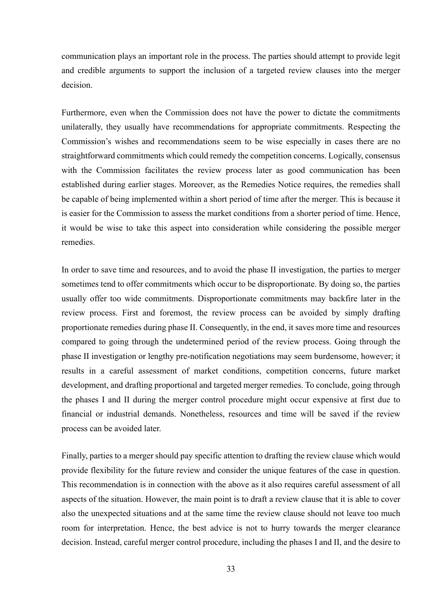communication plays an important role in the process. The parties should attempt to provide legit and credible arguments to support the inclusion of a targeted review clauses into the merger decision.

Furthermore, even when the Commission does not have the power to dictate the commitments unilaterally, they usually have recommendations for appropriate commitments. Respecting the Commission's wishes and recommendations seem to be wise especially in cases there are no straightforward commitments which could remedy the competition concerns. Logically, consensus with the Commission facilitates the review process later as good communication has been established during earlier stages. Moreover, as the Remedies Notice requires, the remedies shall be capable of being implemented within a short period of time after the merger. This is because it is easier for the Commission to assess the market conditions from a shorter period of time. Hence, it would be wise to take this aspect into consideration while considering the possible merger remedies.

In order to save time and resources, and to avoid the phase II investigation, the parties to merger sometimes tend to offer commitments which occur to be disproportionate. By doing so, the parties usually offer too wide commitments. Disproportionate commitments may backfire later in the review process. First and foremost, the review process can be avoided by simply drafting proportionate remedies during phase II. Consequently, in the end, it saves more time and resources compared to going through the undetermined period of the review process. Going through the phase II investigation or lengthy pre-notification negotiations may seem burdensome, however; it results in a careful assessment of market conditions, competition concerns, future market development, and drafting proportional and targeted merger remedies. To conclude, going through the phases I and II during the merger control procedure might occur expensive at first due to financial or industrial demands. Nonetheless, resources and time will be saved if the review process can be avoided later.

Finally, parties to a merger should pay specific attention to drafting the review clause which would provide flexibility for the future review and consider the unique features of the case in question. This recommendation is in connection with the above as it also requires careful assessment of all aspects of the situation. However, the main point is to draft a review clause that it is able to cover also the unexpected situations and at the same time the review clause should not leave too much room for interpretation. Hence, the best advice is not to hurry towards the merger clearance decision. Instead, careful merger control procedure, including the phases I and II, and the desire to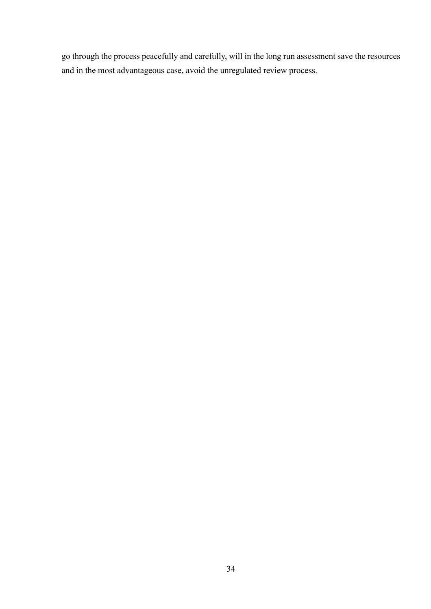go through the process peacefully and carefully, will in the long run assessment save the resources and in the most advantageous case, avoid the unregulated review process.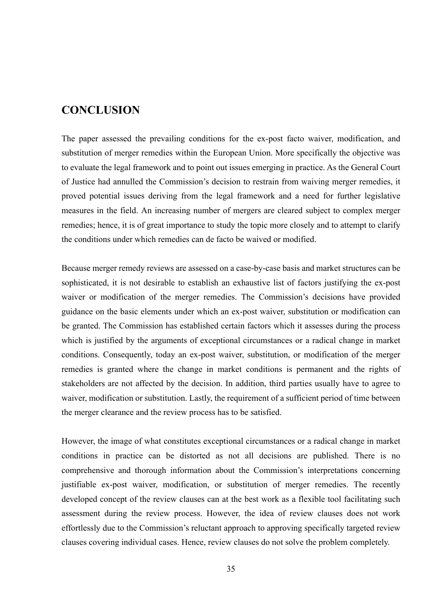# **CONCLUSION**

The paper assessed the prevailing conditions for the ex-post facto waiver, modification, and substitution of merger remedies within the European Union. More specifically the objective was to evaluate the legal framework and to point out issues emerging in practice. As the General Court of Justice had annulled the Commission's decision to restrain from waiving merger remedies, it proved potential issues deriving from the legal framework and a need for further legislative measures in the field. An increasing number of mergers are cleared subject to complex merger remedies; hence, it is of great importance to study the topic more closely and to attempt to clarify the conditions under which remedies can de facto be waived or modified.

Because merger remedy reviews are assessed on a case-by-case basis and market structures can be sophisticated, it is not desirable to establish an exhaustive list of factors justifying the ex-post waiver or modification of the merger remedies. The Commission's decisions have provided guidance on the basic elements under which an ex-post waiver, substitution or modification can be granted. The Commission has established certain factors which it assesses during the process which is justified by the arguments of exceptional circumstances or a radical change in market conditions. Consequently, today an ex-post waiver, substitution, or modification of the merger remedies is granted where the change in market conditions is permanent and the rights of stakeholders are not affected by the decision. In addition, third parties usually have to agree to waiver, modification or substitution. Lastly, the requirement of a sufficient period of time between the merger clearance and the review process has to be satisfied.

However, the image of what constitutes exceptional circumstances or a radical change in market conditions in practice can be distorted as not all decisions are published. There is no comprehensive and thorough information about the Commission's interpretations concerning justifiable ex-post waiver, modification, or substitution of merger remedies. The recently developed concept of the review clauses can at the best work as a flexible tool facilitating such assessment during the review process. However, the idea of review clauses does not work effortlessly due to the Commission's reluctant approach to approving specifically targeted review clauses covering individual cases. Hence, review clauses do not solve the problem completely.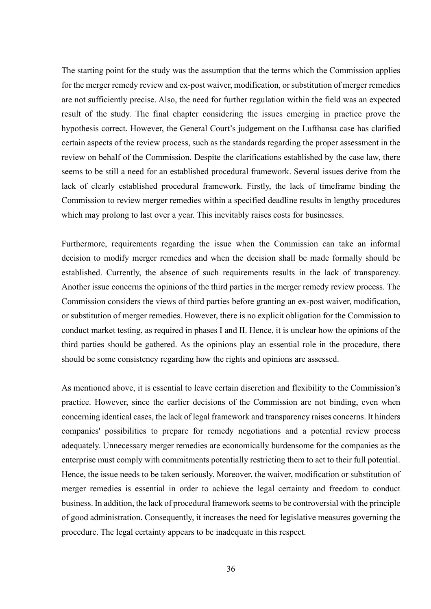The starting point for the study was the assumption that the terms which the Commission applies for the merger remedy review and ex-post waiver, modification, or substitution of merger remedies are not sufficiently precise. Also, the need for further regulation within the field was an expected result of the study. The final chapter considering the issues emerging in practice prove the hypothesis correct. However, the General Court's judgement on the Lufthansa case has clarified certain aspects of the review process, such as the standards regarding the proper assessment in the review on behalf of the Commission. Despite the clarifications established by the case law, there seems to be still a need for an established procedural framework. Several issues derive from the lack of clearly established procedural framework. Firstly, the lack of timeframe binding the Commission to review merger remedies within a specified deadline results in lengthy procedures which may prolong to last over a year. This inevitably raises costs for businesses.

Furthermore, requirements regarding the issue when the Commission can take an informal decision to modify merger remedies and when the decision shall be made formally should be established. Currently, the absence of such requirements results in the lack of transparency. Another issue concerns the opinions of the third parties in the merger remedy review process. The Commission considers the views of third parties before granting an ex-post waiver, modification, or substitution of merger remedies. However, there is no explicit obligation for the Commission to conduct market testing, as required in phases I and II. Hence, it is unclear how the opinions of the third parties should be gathered. As the opinions play an essential role in the procedure, there should be some consistency regarding how the rights and opinions are assessed.

As mentioned above, it is essential to leave certain discretion and flexibility to the Commission's practice. However, since the earlier decisions of the Commission are not binding, even when concerning identical cases, the lack of legal framework and transparency raises concerns. It hinders companies' possibilities to prepare for remedy negotiations and a potential review process adequately. Unnecessary merger remedies are economically burdensome for the companies as the enterprise must comply with commitments potentially restricting them to act to their full potential. Hence, the issue needs to be taken seriously. Moreover, the waiver, modification or substitution of merger remedies is essential in order to achieve the legal certainty and freedom to conduct business. In addition, the lack of procedural framework seems to be controversial with the principle of good administration. Consequently, it increases the need for legislative measures governing the procedure. The legal certainty appears to be inadequate in this respect.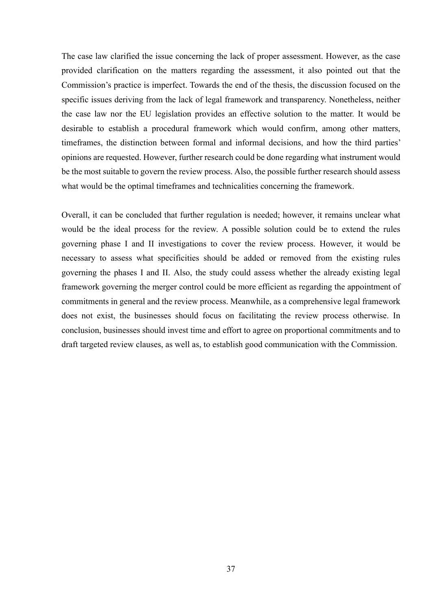The case law clarified the issue concerning the lack of proper assessment. However, as the case provided clarification on the matters regarding the assessment, it also pointed out that the Commission's practice is imperfect. Towards the end of the thesis, the discussion focused on the specific issues deriving from the lack of legal framework and transparency. Nonetheless, neither the case law nor the EU legislation provides an effective solution to the matter. It would be desirable to establish a procedural framework which would confirm, among other matters, timeframes, the distinction between formal and informal decisions, and how the third parties' opinions are requested. However, further research could be done regarding what instrument would be the most suitable to govern the review process. Also, the possible further research should assess what would be the optimal timeframes and technicalities concerning the framework.

Overall, it can be concluded that further regulation is needed; however, it remains unclear what would be the ideal process for the review. A possible solution could be to extend the rules governing phase I and II investigations to cover the review process. However, it would be necessary to assess what specificities should be added or removed from the existing rules governing the phases I and II. Also, the study could assess whether the already existing legal framework governing the merger control could be more efficient as regarding the appointment of commitments in general and the review process. Meanwhile, as a comprehensive legal framework does not exist, the businesses should focus on facilitating the review process otherwise. In conclusion, businesses should invest time and effort to agree on proportional commitments and to draft targeted review clauses, as well as, to establish good communication with the Commission.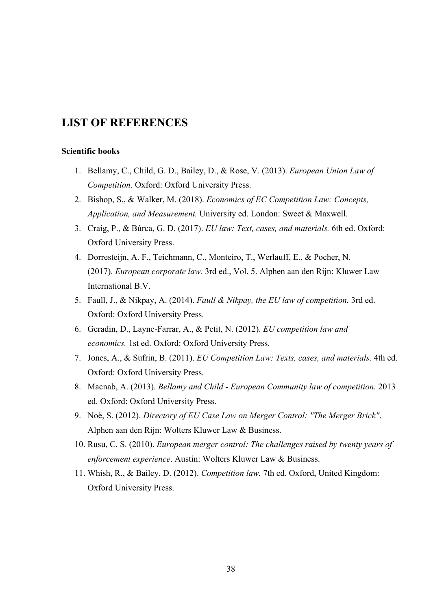# **LIST OF REFERENCES**

#### **Scientific books**

- 1. Bellamy, C., Child, G. D., Bailey, D., & Rose, V. (2013). *European Union Law of Competition*. Oxford: Oxford University Press.
- 2. Bishop, S., & Walker, M. (2018). *Economics of EC Competition Law: Concepts, Application, and Measurement.* University ed. London: Sweet & Maxwell.
- 3. Craig, P., & Búrca, G. D. (2017). *EU law: Text, cases, and materials.* 6th ed. Oxford: Oxford University Press.
- 4. Dorresteijn, A. F., Teichmann, C., Monteiro, T., Werlauff, E., & Pocher, N. (2017). *European corporate law.* 3rd ed., Vol. 5. Alphen aan den Rijn: Kluwer Law International B.V.
- 5. Faull, J., & Nikpay, A. (2014). *Faull & Nikpay, the EU law of competition.* 3rd ed. Oxford: Oxford University Press.
- 6. Geradin, D., Layne-Farrar, A., & Petit, N. (2012). *EU competition law and economics.* 1st ed. Oxford: Oxford University Press.
- 7. Jones, A., & Sufrin, B. (2011). *EU Competition Law: Texts, cases, and materials.* 4th ed. Oxford: Oxford University Press.
- 8. Macnab, A. (2013). *Bellamy and Child - European Community law of competition.* 2013 ed. Oxford: Oxford University Press.
- 9. Noë, S. (2012). *Directory of EU Case Law on Merger Control: "The Merger Brick"*. Alphen aan den Rijn: Wolters Kluwer Law & Business.
- 10. Rusu, C. S. (2010). *European merger control: The challenges raised by twenty years of enforcement experience*. Austin: Wolters Kluwer Law & Business.
- 11. Whish, R., & Bailey, D. (2012). *Competition law.* 7th ed. Oxford, United Kingdom: Oxford University Press.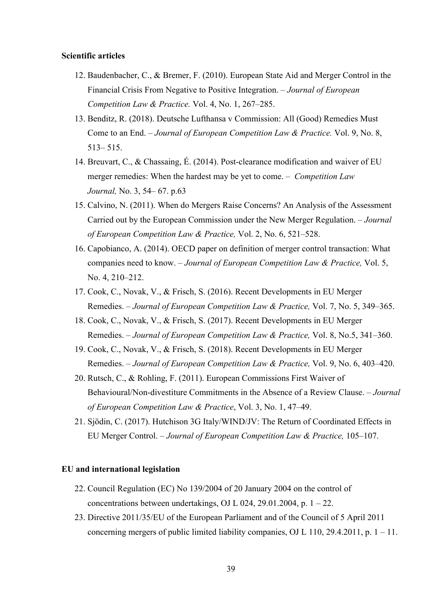#### **Scientific articles**

- 12. Baudenbacher, C., & Bremer, F. (2010). European State Aid and Merger Control in the Financial Crisis From Negative to Positive Integration. – *Journal of European Competition Law & Practice.* Vol. 4, No. 1, 267–285.
- 13. Benditz, R. (2018). Deutsche Lufthansa v Commission: All (Good) Remedies Must Come to an End. – *Journal of European Competition Law & Practice.* Vol. 9, No. 8, 513– 515.
- 14. Breuvart, C., & Chassaing, É. (2014). Post-clearance modification and waiver of EU merger remedies: When the hardest may be yet to come. – *Competition Law Journal,* No. 3, 54– 67. p.63
- 15. Calvino, N. (2011). When do Mergers Raise Concerns? An Analysis of the Assessment Carried out by the European Commission under the New Merger Regulation. – *Journal of European Competition Law & Practice,* Vol. 2, No. 6, 521–528.
- 16. Capobianco, A. (2014). OECD paper on definition of merger control transaction: What companies need to know. – *Journal of European Competition Law & Practice,* Vol. 5, No. 4, 210–212.
- 17. Cook, C., Novak, V., & Frisch, S. (2016). Recent Developments in EU Merger Remedies. – *Journal of European Competition Law & Practice,* Vol. 7, No. 5, 349–365.
- 18. Cook, C., Novak, V., & Frisch, S. (2017). Recent Developments in EU Merger Remedies. – *Journal of European Competition Law & Practice,* Vol. 8, No.5, 341–360.
- 19. Cook, C., Novak, V., & Frisch, S. (2018). Recent Developments in EU Merger Remedies. – *Journal of European Competition Law & Practice,* Vol. 9, No. 6, 403–420.
- 20. Rutsch, C., & Rohling, F. (2011). European Commissions First Waiver of Behavioural/Non-divestiture Commitments in the Absence of a Review Clause. – *Journal of European Competition Law & Practice*, Vol. 3, No. 1, 47–49.
- 21. Sjödin, C. (2017). Hutchison 3G Italy/WIND/JV: The Return of Coordinated Effects in EU Merger Control. – *Journal of European Competition Law & Practice,* 105–107.

#### **EU and international legislation**

- 22. Council Regulation (EC) No 139/2004 of 20 January 2004 on the control of concentrations between undertakings, OJ L 024, 29.01.2004, p.  $1 - 22$ .
- 23. Directive 2011/35/EU of the European Parliament and of the Council of 5 April 2011 concerning mergers of public limited liability companies, OJ L  $110$ , 29.4.2011, p. 1 – 11.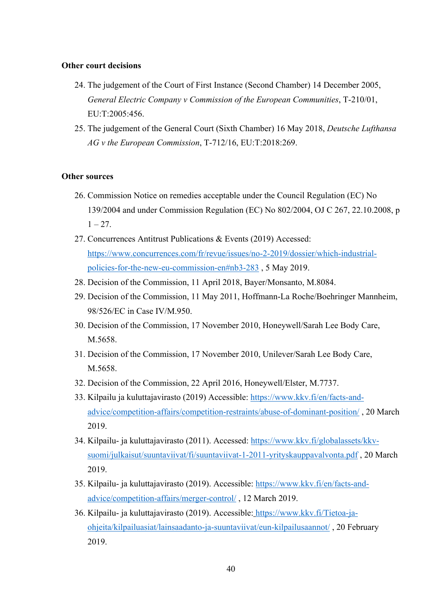#### **Other court decisions**

- 24. The judgement of the Court of First Instance (Second Chamber) 14 December 2005, *General Electric Company v Commission of the European Communities*, T-210/01, EU:T:2005:456.
- 25. The judgement of the General Court (Sixth Chamber) 16 May 2018, *Deutsche Lufthansa AG v the European Commission*, T-712/16, EU:T:2018:269.

#### **Other sources**

- 26. Commission Notice on remedies acceptable under the Council Regulation (EC) No 139/2004 and under Commission Regulation (EC) No 802/2004, OJ C 267, 22.10.2008, p  $1 - 27$ .
- 27. Concurrences Antitrust Publications & Events (2019) Accessed: https://www.concurrences.com/fr/revue/issues/no-2-2019/dossier/which-industrialpolicies-for-the-new-eu-commission-en#nb3-283 , 5 May 2019.
- 28. Decision of the Commission, 11 April 2018, Bayer/Monsanto, M.8084.
- 29. Decision of the Commission, 11 May 2011, Hoffmann-La Roche/Boehringer Mannheim, 98/526/EC in Case IV/M.950.
- 30. Decision of the Commission, 17 November 2010, Honeywell/Sarah Lee Body Care, M.5658.
- 31. Decision of the Commission, 17 November 2010, Unilever/Sarah Lee Body Care, M.5658.
- 32. Decision of the Commission, 22 April 2016, Honeywell/Elster, M.7737.
- 33. Kilpailu ja kuluttajavirasto (2019) Accessible: https://www.kkv.fi/en/facts-andadvice/competition-affairs/competition-restraints/abuse-of-dominant-position/ , 20 March 2019.
- 34. Kilpailu- ja kuluttajavirasto (2011). Accessed: https://www.kkv.fi/globalassets/kkvsuomi/julkaisut/suuntaviivat/fi/suuntaviivat-1-2011-yrityskauppavalvonta.pdf , 20 March 2019.
- 35. Kilpailu- ja kuluttajavirasto (2019). Accessible: https://www.kkv.fi/en/facts-andadvice/competition-affairs/merger-control/ , 12 March 2019.
- 36. Kilpailu- ja kuluttajavirasto (2019). Accessible: https://www.kkv.fi/Tietoa-jaohjeita/kilpailuasiat/lainsaadanto-ja-suuntaviivat/eun-kilpailusaannot/ , 20 February 2019.